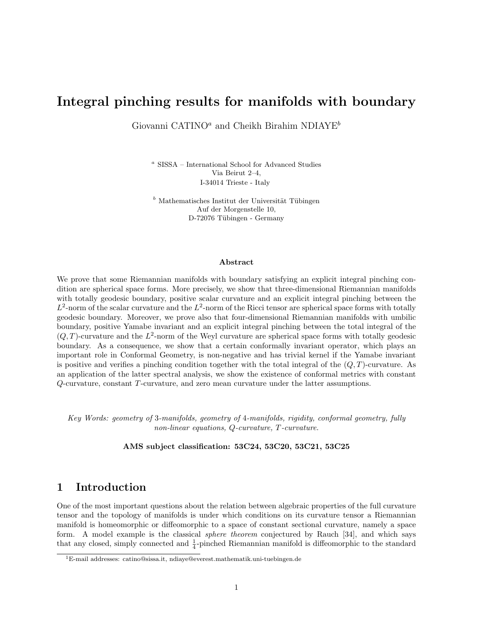## Integral pinching results for manifolds with boundary

Giovanni CATINO<sup>a</sup> and Cheikh Birahim NDIAYE<sup>b</sup>

<sup>a</sup> SISSA – International School for Advanced Studies Via Beirut 2–4, I-34014 Trieste - Italy

 $b$  Mathematisches Institut der Universität Tübingen Auf der Morgenstelle 10, D-72076 Tübingen - Germany

#### Abstract

We prove that some Riemannian manifolds with boundary satisfying an explicit integral pinching condition are spherical space forms. More precisely, we show that three-dimensional Riemannian manifolds with totally geodesic boundary, positive scalar curvature and an explicit integral pinching between the  $L^2$ -norm of the scalar curvature and the  $L^2$ -norm of the Ricci tensor are spherical space forms with totally geodesic boundary. Moreover, we prove also that four-dimensional Riemannian manifolds with umbilic boundary, positive Yamabe invariant and an explicit integral pinching between the total integral of the  $(Q, T)$ -curvature and the  $L^2$ -norm of the Weyl curvature are spherical space forms with totally geodesic boundary. As a consequence, we show that a certain conformally invariant operator, which plays an important role in Conformal Geometry, is non-negative and has trivial kernel if the Yamabe invariant is positive and verifies a pinching condition together with the total integral of the  $(Q, T)$ -curvature. As an application of the latter spectral analysis, we show the existence of conformal metrics with constant Q-curvature, constant T-curvature, and zero mean curvature under the latter assumptions.

Key Words: geometry of 3-manifolds, geometry of 4-manifolds, rigidity, conformal geometry, fully non-linear equations, Q-curvature, T-curvature.

AMS subject classification: 53C24, 53C20, 53C21, 53C25

## 1 Introduction

One of the most important questions about the relation between algebraic properties of the full curvature tensor and the topology of manifolds is under which conditions on its curvature tensor a Riemannian manifold is homeomorphic or diffeomorphic to a space of constant sectional curvature, namely a space form. A model example is the classical sphere theorem conjectured by Rauch [34], and which says that any closed, simply connected and  $\frac{1}{4}$ -pinched Riemannian manifold is diffeomorphic to the standard

 ${}^{1}E$ -mail addresses: catino@sissa.it, ndiaye@everest.mathematik.uni-tuebingen.de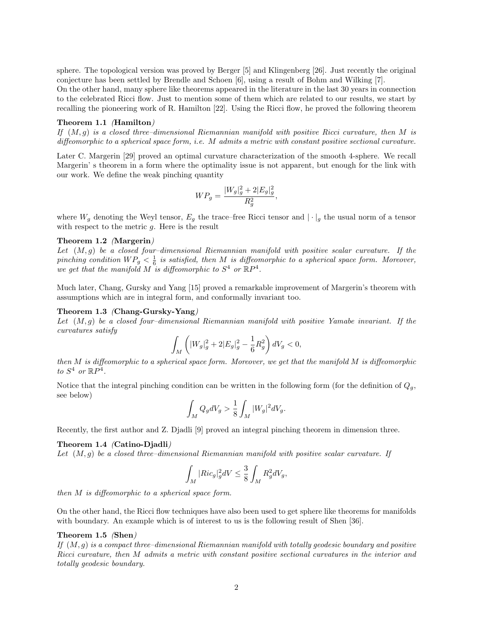sphere. The topological version was proved by Berger [5] and Klingenberg [26]. Just recently the original conjecture has been settled by Brendle and Schoen [6], using a result of Bohm and Wilking [7].

On the other hand, many sphere like theorems appeared in the literature in the last 30 years in connection to the celebrated Ricci flow. Just to mention some of them which are related to our results, we start by recalling the pioneering work of R. Hamilton [22]. Using the Ricci flow, he proved the following theorem

#### Theorem 1.1 (Hamilton)

If  $(M, g)$  is a closed three-dimensional Riemannian manifold with positive Ricci curvature, then M is diffeomorphic to a spherical space form, i.e. M admits a metric with constant positive sectional curvature.

Later C. Margerin [29] proved an optimal curvature characterization of the smooth 4-sphere. We recall Margerin' s theorem in a form where the optimality issue is not apparent, but enough for the link with our work. We define the weak pinching quantity

$$
WP_g = \frac{|W_g|_g^2 + 2|E_g|_g^2}{R_g^2},
$$

where  $W_g$  denoting the Weyl tensor,  $E_g$  the trace–free Ricci tensor and  $|\cdot|_g$  the usual norm of a tensor with respect to the metric  $q$ . Here is the result

#### Theorem 1.2 (Margerin)

Let  $(M, g)$  be a closed four-dimensional Riemannian manifold with positive scalar curvature. If the pinching condition  $WP_g < \frac{1}{6}$  is satisfied, then M is diffeomorphic to a spherical space form. Moreover, we get that the manifold M is diffeomorphic to  $S^4$  or  $\mathbb{R}P^4$ .

Much later, Chang, Gursky and Yang [15] proved a remarkable improvement of Margerin's theorem with assumptions which are in integral form, and conformally invariant too.

#### Theorem 1.3 (Chang-Gursky-Yang)

Let  $(M, g)$  be a closed four-dimensional Riemannian manifold with positive Yamabe invariant. If the curvatures satisfy

$$
\int_M \left( |W_g|_g^2 + 2|E_g|_g^2 - \frac{1}{6}R_g^2 \right) dV_g < 0,
$$

then  $M$  is diffeomorphic to a spherical space form. Moreover, we get that the manifold  $M$  is diffeomorphic to  $S^4$  or  $\mathbb{R}P^4$ .

Notice that the integral pinching condition can be written in the following form (for the definition of  $Q_q$ , see below)

$$
\int_M Q_g dV_g > \frac{1}{8} \int_M |W_g|^2 dV_g.
$$

Recently, the first author and Z. Djadli [9] proved an integral pinching theorem in dimension three.

#### Theorem 1.4 (Catino-Djadli)

Let  $(M, q)$  be a closed three–dimensional Riemannian manifold with positive scalar curvature. If

$$
\int_M |Ric_g|_g^2 dV \leq \frac{3}{8} \int_M R_g^2 dV_g,
$$

then M is diffeomorphic to a spherical space form.

On the other hand, the Ricci flow techniques have also been used to get sphere like theorems for manifolds with boundary. An example which is of interest to us is the following result of Shen [36].

#### Theorem 1.5 (Shen)

If  $(M, g)$  is a compact three–dimensional Riemannian manifold with totally geodesic boundary and positive Ricci curvature, then M admits a metric with constant positive sectional curvatures in the interior and totally geodesic boundary.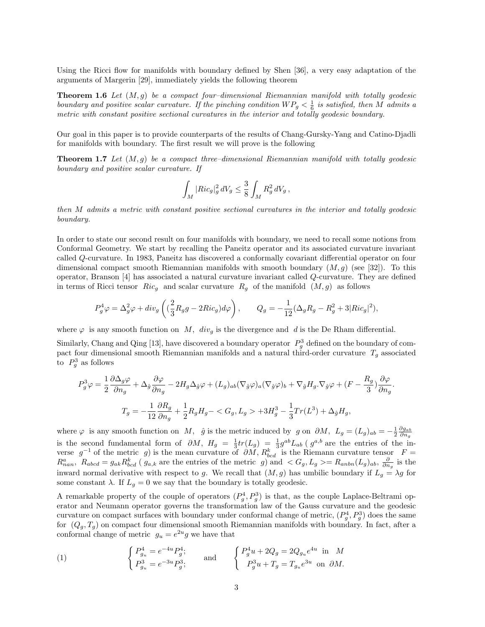Using the Ricci flow for manifolds with boundary defined by Shen [36], a very easy adaptation of the arguments of Margerin [29], immediately yields the following theorem

**Theorem 1.6** Let  $(M, g)$  be a compact four-dimensional Riemannian manifold with totally geodesic boundary and positive scalar curvature. If the pinching condition  $WP_g < \frac{1}{6}$  is satisfied, then M admits a metric with constant positive sectional curvatures in the interior and totally geodesic boundary.

Our goal in this paper is to provide counterparts of the results of Chang-Gursky-Yang and Catino-Djadli for manifolds with boundary. The first result we will prove is the following

**Theorem 1.7** Let  $(M, g)$  be a compact three-dimensional Riemannian manifold with totally geodesic boundary and positive scalar curvature. If

$$
\int_M |Ric_g|_g^2 dV_g \leq \frac{3}{8} \int_M R_g^2 dV_g,
$$

then M admits a metric with constant positive sectional curvatures in the interior and totally geodesic boundary.

In order to state our second result on four manifolds with boundary, we need to recall some notions from Conformal Geometry. We start by recalling the Paneitz operator and its associated curvature invariant called Q-curvature. In 1983, Paneitz has discovered a conformally covariant differential operator on four dimensional compact smooth Riemannian manifolds with smooth boundary  $(M, q)$  (see [32]). To this operator, Branson [4] has associated a natural curvature invariant called Q-curvature. They are defined in terms of Ricci tensor  $Ric_g$  and scalar curvature  $R_g$  of the manifold  $(M, g)$  as follows

$$
P_g^4 \varphi = \Delta_g^2 \varphi + div_g \left( \left( \frac{2}{3} R_g g - 2Ric_g \right) d\varphi \right), \qquad Q_g = -\frac{1}{12} (\Delta_g R_g - R_g^2 + 3|Ric_g|^2),
$$

where  $\varphi$  is any smooth function on M,  $div_q$  is the divergence and d is the De Rham differential.

Similarly, Chang and Qing [13], have discovered a boundary operator  $P_g^3$  defined on the boundary of compact four dimensional smooth Riemannian manifolds and a natural third-order curvature  $T_g$  associated to  $P_g^3$  as follows

$$
P_g^3 \varphi = \frac{1}{2} \frac{\partial \Delta_g \varphi}{\partial n_g} + \Delta_{\hat{g}} \frac{\partial \varphi}{\partial n_g} - 2H_g \Delta_{\hat{g}} \varphi + (L_g)_{ab} (\nabla_{\hat{g}} \varphi)_a (\nabla_{\hat{g}} \varphi)_b + \nabla_{\hat{g}} H_g \cdot \nabla_{\hat{g}} \varphi + (F - \frac{R_g}{3}) \frac{\partial \varphi}{\partial n_g}.
$$
  

$$
T_g = -\frac{1}{12} \frac{\partial R_g}{\partial n_g} + \frac{1}{2} R_g H_g - \langle G_g, L_g \rangle + 3H_g^3 - \frac{1}{3} Tr(L^3) + \Delta_{\hat{g}} H_g,
$$

where  $\varphi$  is any smooth function on M,  $\hat{g}$  is the metric induced by g on  $\partial M$ ,  $L_g = (L_g)_{ab} = -\frac{1}{2} \frac{\partial g_{ab}}{\partial n_g}$ is the second fundamental form of  $\partial M$ ,  $H_g = \frac{1}{3}tr(L_g) = \frac{1}{3}g^{ab}L_{ab}$  ( $g^{a,b}$  are the entries of the inverse  $g^{-1}$  of the metric g) is the mean curvature of  $\partial M$ ,  $R_{bcd}^k$  is the Riemann curvature tensor  $F =$  $R_{nan}^a$ ,  $R_{abcd} = g_{ak}R_{bcd}^k$  ( $g_{a,k}$  are the entries of the metric g) and  $\langle G_g, L_g \rangle = R_{anbn}(L_g)_{ab}$ ,  $\frac{\partial}{\partial n_g}$  is the inward normal derivative with respect to g. We recall that  $(M, g)$  has umbilic boundary if  $L_g = \lambda g$  for some constant  $\lambda$ . If  $L_q = 0$  we say that the boundary is totally geodesic.

A remarkable property of the couple of operators  $(P_g^4, P_g^3)$  is that, as the couple Laplace-Beltrami operator and Neumann operator governs the transformation law of the Gauss curvature and the geodesic curvature on compact surfaces with boundary under conformal change of metric,  $(P_g^4, P_g^3)$  does the same for  $(Q_g, T_g)$  on compact four dimensional smooth Riemannian manifolds with boundary. In fact, after a conformal change of metric  $g_u = e^{2u}g$  we have that

(1) 
$$
\begin{cases} P_{g_u}^4 = e^{-4u} P_g^4; \\ P_{g_u}^3 = e^{-3u} P_g^3; \end{cases} \text{ and } \begin{cases} P_g^4 u + 2Q_g = 2Q_{g_u} e^{4u} \text{ in } M \\ P_g^3 u + T_g = T_{g_u} e^{3u} \text{ on } \partial M. \end{cases}
$$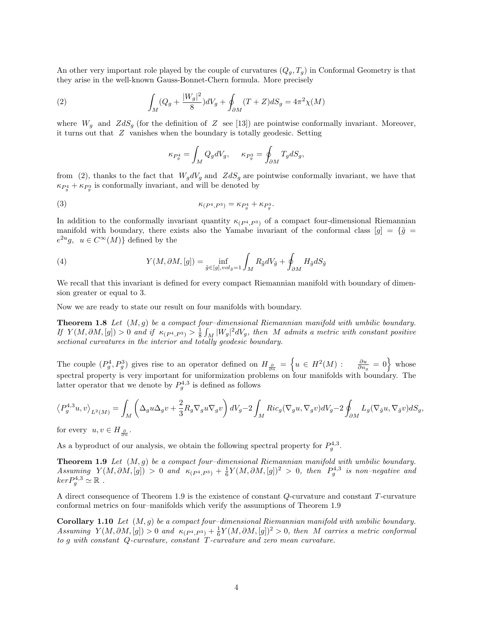An other very important role played by the couple of curvatures  $(Q_g, T_g)$  in Conformal Geometry is that they arise in the well-known Gauss-Bonnet-Chern formula. More precisely

(2) 
$$
\int_{M} (Q_g + \frac{|W_g|^2}{8}) dV_g + \oint_{\partial M} (T + Z) dS_g = 4\pi^2 \chi(M)
$$

where  $W_g$  and  $ZdS_g$  (for the definition of Z see [13]) are pointwise conformally invariant. Moreover, it turns out that Z vanishes when the boundary is totally geodesic. Setting

$$
\kappa_{P_g^4} = \int_M Q_g dV_g, \quad \kappa_{P_g^3} = \oint_{\partial M} T_g dS_g,
$$

from (2), thanks to the fact that  $W_g dV_g$  and  $ZdS_g$  are pointwise conformally invariant, we have that  $\kappa_{P_g^4} + \kappa_{P_g^3}$  is conformally invariant, and will be denoted by

$$
\kappa_{(P^4, P^3)} = \kappa_{P_g^4} + \kappa_{P_g^3}.
$$

In addition to the conformally invariant quantity  $\kappa_{(P^4, P^3)}$  of a compact four-dimensional Riemannian manifold with boundary, there exists also the Yamabe invariant of the conformal class  $[g] = {\tilde{g}} =$  $e^{2u}g$ ,  $u \in C^{\infty}(M)$  defined by the

(4) 
$$
Y(M, \partial M, [g]) = \inf_{\tilde{g} \in [g], vol_{\tilde{g}} = 1} \int_{M} R_{\tilde{g}} dV_{\tilde{g}} + \oint_{\partial M} H_{\tilde{g}} dS_{\tilde{g}}
$$

We recall that this invariant is defined for every compact Riemannian manifold with boundary of dimension greater or equal to 3.

Now we are ready to state our result on four manifolds with boundary.

**Theorem 1.8** Let  $(M, g)$  be a compact four-dimensional Riemannian manifold with umbilic boundary. If  $Y(M, \partial M, [g]) > 0$  and if  $\kappa_{(P^4, P^3)} > \frac{1}{8} \int_M |W_g|^2 dV_g$ , then M admits a metric with constant positive sectional curvatures in the interior and totally geodesic boundary.

The couple  $(P_g^4, P_g^3)$  gives rise to an operator defined on  $H_{\frac{\partial}{\partial n}} = \left\{ u \in H^2(M) : \frac{\partial u}{\partial n_g} = 0 \right\}$  whose spectral property is very important for uniformization problems on four manifolds with boundary. The latter operator that we denote by  $P_g^{4,3}$  is defined as follows

$$
\left\langle P_g^{4,3}u,v\right\rangle_{L^2(M)} = \int_M \left( \Delta_g u \Delta_g v + \frac{2}{3} R_g \nabla_g u \nabla_g v \right) dV_g - 2 \int_M Ric_g(\nabla_g u, \nabla_g v) dV_g - 2 \oint_{\partial M} L_g(\nabla_{\hat{g}} u, \nabla_{\hat{g}} v) dS_g,
$$

for every  $u, v \in H_{\frac{\partial}{\partial n}}$ .

As a byproduct of our analysis, we obtain the following spectral property for  $P_g^{4,3}$ .

**Theorem 1.9** Let  $(M, g)$  be a compact four-dimensional Riemannian manifold with umbilic boundary.  $Assuming \ Y(M, \partial M, [g]) > 0$  and  $\kappa_{(P^4, P^3)} + \frac{1}{6}Y(M, \partial M, [g])^2 > 0$ , then  $P_g^{4,3}$  is non-negative and  $ker P_g^{4,3} \simeq \mathbb{R}$ .

A direct consequence of Theorem 1.9 is the existence of constant Q-curvature and constant T-curvature conformal metrics on four–manifolds which verify the assumptions of Theorem 1.9

**Corollary 1.10** Let  $(M, q)$  be a compact four-dimensional Riemannian manifold with umbilic boundary. Assuming  $Y(M, \partial M, [g]) > 0$  and  $\kappa_{(P^4, P^3)} + \frac{1}{6}Y(M, \partial M, [g])^2 > 0$ , then M carries a metric conformal to g with constant Q-curvature, constant T-curvature and zero mean curvature.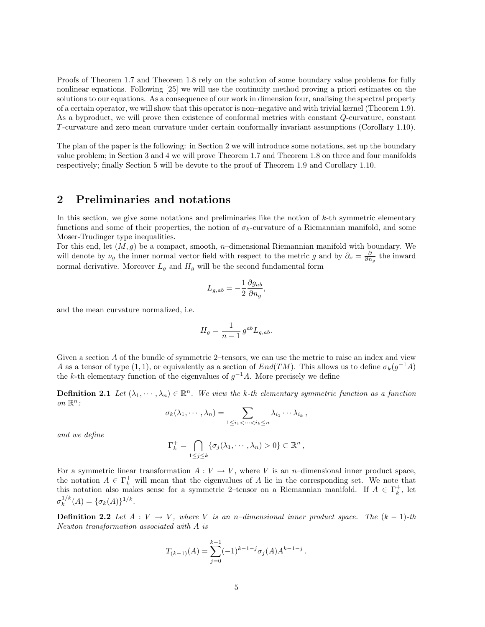Proofs of Theorem 1.7 and Theorem 1.8 rely on the solution of some boundary value problems for fully nonlinear equations. Following [25] we will use the continuity method proving a priori estimates on the solutions to our equations. As a consequence of our work in dimension four, analising the spectral property of a certain operator, we will show that this operator is non–negative and with trivial kernel (Theorem 1.9). As a byproduct, we will prove then existence of conformal metrics with constant Q-curvature, constant T-curvature and zero mean curvature under certain conformally invariant assumptions (Corollary 1.10).

The plan of the paper is the following: in Section 2 we will introduce some notations, set up the boundary value problem; in Section 3 and 4 we will prove Theorem 1.7 and Theorem 1.8 on three and four manifolds respectively; finally Section 5 will be devote to the proof of Theorem 1.9 and Corollary 1.10.

## 2 Preliminaries and notations

In this section, we give some notations and preliminaries like the notion of  $k$ -th symmetric elementary functions and some of their properties, the notion of  $\sigma_k$ -curvature of a Riemannian manifold, and some Moser-Trudinger type inequalities.

For this end, let  $(M, g)$  be a compact, smooth, n–dimensional Riemannian manifold with boundary. We will denote by  $\nu_g$  the inner normal vector field with respect to the metric g and by  $\partial_\nu = \frac{\partial}{\partial n_g}$  the inward normal derivative. Moreover  $L_g$  and  $H_g$  will be the second fundamental form

$$
L_{g,ab}=-\frac{1}{2}\frac{\partial g_{ab}}{\partial n_g},
$$

and the mean curvature normalized, i.e.

$$
H_g = \frac{1}{n-1} g^{ab} L_{g,ab}.
$$

Given a section A of the bundle of symmetric 2–tensors, we can use the metric to raise an index and view A as a tensor of type  $(1,1)$ , or equivalently as a section of  $End(TM)$ . This allows us to define  $\sigma_k(g^{-1}A)$ the k-th elementary function of the eigenvalues of  $g^{-1}A$ . More precisely we define

**Definition 2.1** Let  $(\lambda_1, \dots, \lambda_n) \in \mathbb{R}^n$ . We view the k-th elementary symmetric function as a function on  $\mathbb{R}^n$ :

$$
\sigma_k(\lambda_1,\cdots,\lambda_n)=\sum_{1\leq i_1<\cdots
$$

and we define

$$
\Gamma_k^+ = \bigcap_{1 \leq j \leq k} \{ \sigma_j(\lambda_1, \cdots, \lambda_n) > 0 \} \subset \mathbb{R}^n ,
$$

For a symmetric linear transformation  $A: V \to V$ , where V is an n–dimensional inner product space, the notation  $A \in \Gamma_k^+$  will mean that the eigenvalues of A lie in the corresponding set. We note that this notation also makes sense for a symmetric 2-tensor on a Riemannian manifold. If  $A \in \Gamma_k^+$ , let  $\sigma_k^{1/k}$  $_{k}^{1/k}(A) = {\{\sigma_k(A)\}}^{1/k}.$ 

**Definition 2.2** Let  $A: V \to V$ , where V is an n-dimensional inner product space. The  $(k-1)$ -th Newton transformation associated with A is

$$
T_{(k-1)}(A) = \sum_{j=0}^{k-1} (-1)^{k-1-j} \sigma_j(A) A^{k-1-j}.
$$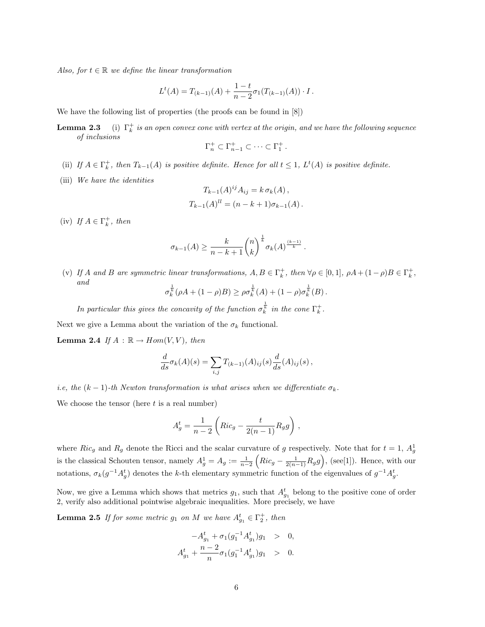Also, for  $t \in \mathbb{R}$  we define the linear transformation

$$
L^{t}(A) = T_{(k-1)}(A) + \frac{1-t}{n-2} \sigma_1(T_{(k-1)}(A)) \cdot I.
$$

We have the following list of properties (the proofs can be found in [8])

**Lemma 2.3** (i)  $\Gamma_k^+$  is an open convex cone with vertex at the origin, and we have the following sequence of inclusions

$$
\Gamma_n^+\subset\Gamma_{n-1}^+\subset\cdots\subset\Gamma_1^+\,.
$$

- (ii) If  $A \in \Gamma_k^+$ , then  $T_{k-1}(A)$  is positive definite. Hence for all  $t \leq 1$ ,  $L^t(A)$  is positive definite.
- (iii) We have the identities

$$
T_{k-1}(A)^{ij} A_{ij} = k \sigma_k(A),
$$
  
\n
$$
T_{k-1}(A)^{ll} = (n - k + 1)\sigma_{k-1}(A).
$$

(iv) If  $A \in \Gamma_k^+$ , then

$$
\sigma_{k-1}(A) \ge \frac{k}{n-k+1} {n \choose k}^{\frac{1}{k}} \sigma_k(A)^{\frac{(k-1)}{k}}.
$$

(v) If A and B are symmetric linear transformations,  $A, B \in \Gamma_k^+$ , then  $\forall \rho \in [0,1]$ ,  $\rho A + (1-\rho)B \in \Gamma_k^+$ , and

$$
\sigma_k^{\frac{1}{k}}(\rho A + (1 - \rho)B) \ge \rho \sigma_k^{\frac{1}{k}}(A) + (1 - \rho) \sigma_k^{\frac{1}{k}}(B).
$$

In particular this gives the concavity of the function  $\sigma_k^{\frac{1}{k}}$  in the cone  $\Gamma_k^+$ .

Next we give a Lemma about the variation of the  $\sigma_k$  functional.

**Lemma 2.4** If  $A : \mathbb{R} \to Hom(V, V)$ , then

$$
\frac{d}{ds}\sigma_k(A)(s) = \sum_{i,j} T_{(k-1)}(A)_{ij}(s) \frac{d}{ds}(A)_{ij}(s),
$$

i.e, the  $(k-1)$ -th Newton transformation is what arises when we differentiate  $\sigma_k$ .

We choose the tensor (here  $t$  is a real number)

$$
A_g^t = \frac{1}{n-2} \left( Ric_g - \frac{t}{2(n-1)} R_g g \right) ,
$$

where  $Ric_g$  and  $R_g$  denote the Ricci and the scalar curvature of g respectively. Note that for  $t = 1$ ,  $A_g^1$ is the classical Schouten tensor, namely  $A_g^1 = A_g := \frac{1}{n-2} \left( Ric_g - \frac{1}{2(n-1)} R_g g \right)$ , (see[1]). Hence, with our notations,  $\sigma_k(g^{-1}A_g^t)$  denotes the k-th elementary symmetric function of the eigenvalues of  $g^{-1}A_g^t$ .

Now, we give a Lemma which shows that metrics  $g_1$ , such that  $A_{g_1}^t$  belong to the positive cone of order 2, verify also additional pointwise algebraic inequalities. More precisely, we have

**Lemma 2.5** If for some metric  $g_1$  on M we have  $A_{g_1}^t \in \Gamma_2^+$ , then

$$
-A_{g_1}^t + \sigma_1(g_1^{-1}A_{g_1}^t)g_1 > 0,
$$
  

$$
A_{g_1}^t + \frac{n-2}{n}\sigma_1(g_1^{-1}A_{g_1}^t)g_1 > 0.
$$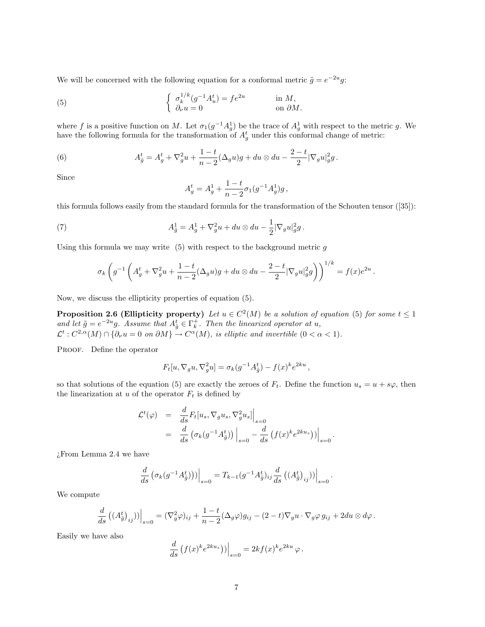We will be concerned with the following equation for a conformal metric  $\tilde{g} = e^{-2u}g$ :

(5) 
$$
\begin{cases} \sigma_k^{1/k}(g^{-1}A_u^t) = fe^{2u} & \text{in } M, \\ \partial_\nu u = 0 & \text{on } \partial M. \end{cases}
$$

where f is a positive function on M. Let  $\sigma_1(g^{-1}A_g^1)$  be the trace of  $A_g^1$  with respect to the metric g. We have the following formula for the transformation of  $A_g^t$  under this conformal change of metric:

(6) 
$$
A_{\tilde{g}}^t = A_g^t + \nabla_g^2 u + \frac{1-t}{n-2} (\Delta_g u) g + du \otimes du - \frac{2-t}{2} |\nabla_g u|_g^2 g.
$$

Since

$$
A_g^t = A_g^1 + \frac{1-t}{n-2} \sigma_1(g^{-1} A_g^1) g,
$$

this formula follows easily from the standard formula for the transformation of the Schouten tensor ([35]):

(7) 
$$
A_{\tilde{g}}^1 = A_g^1 + \nabla_g^2 u + du \otimes du - \frac{1}{2} |\nabla_g u|_g^2 g.
$$

Using this formula we may write  $(5)$  with respect to the background metric  $g$ 

$$
\sigma_k \left( g^{-1} \left( A_g^t + \nabla_g^2 u + \frac{1-t}{n-2} (\Delta_g u) g + du \otimes du - \frac{2-t}{2} |\nabla_g u|_g^2 g \right) \right)^{1/k} = f(x) e^{2u}.
$$

Now, we discuss the ellipticity properties of equation (5).

**Proposition 2.6 (Ellipticity property)** Let  $u \in C^2(M)$  be a solution of equation (5) for some  $t \leq 1$ and let  $\tilde{g} = e^{-2u}g$ . Assume that  $A_{\tilde{g}}^t \in \Gamma_k^+$ . Then the linearized operator at u,  $\mathcal{L}^t: C^{2,\alpha}(M)\cap \{\partial_\nu u = 0 \text{ on } \partial M\} \to C^{\alpha}(M)$ , is elliptic and invertible  $(0 < \alpha < 1)$ .

PROOF. Define the operator

$$
F_t[u, \nabla_g u, \nabla_g^2 u] = \sigma_k(g^{-1}A_{\tilde{g}}^t) - f(x)^k e^{2ku},
$$

so that solutions of the equation (5) are exactly the zeroes of  $F_t$ . Define the function  $u_s = u + s\varphi$ , then the linearization at  $u$  of the operator  $F_t$  is defined by

$$
\mathcal{L}^t(\varphi) = \frac{d}{ds} F_t[u_s, \nabla_g u_s, \nabla_g^2 u_s]\Big|_{s=0}
$$
  
= 
$$
\frac{d}{ds} \left( \sigma_k(g^{-1} A_{\tilde{g}}^t) \right) \Big|_{s=0} - \frac{d}{ds} \left( f(x)^k e^{2ku_s} \right) \Big|_{s=0} .
$$

¿From Lemma 2.4 we have

$$
\frac{d}{ds} \left( \sigma_k(g^{-1} A_{\tilde{g}}^t) \right) \Big|_{s=0} = T_{k-1} (g^{-1} A_{\tilde{g}}^t)_{ij} \frac{d}{ds} \left( (A_{\tilde{g}}^t)_{ij} \right) \Big|_{s=0}
$$

.

We compute

$$
\frac{d}{ds} ((A^t_g)_{ij})\Big|_{s=0} = (\nabla_g^2 \varphi)_{ij} + \frac{1-t}{n-2} (\Delta_g \varphi) g_{ij} - (2-t) \nabla_g u \cdot \nabla_g \varphi g_{ij} + 2du \otimes d\varphi.
$$

Easily we have also

$$
\frac{d}{ds}\left(f(x)^{k}e^{2ku_s}\right)\big)\Big|_{s=0} = 2kf(x)^{k}e^{2ku}\varphi.
$$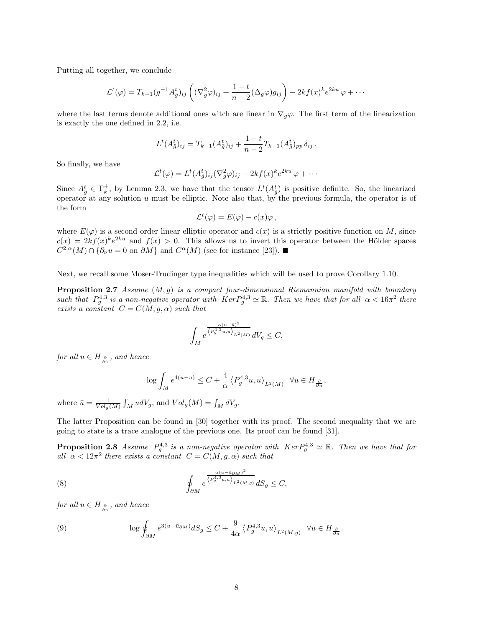Putting all together, we conclude

$$
\mathcal{L}^t(\varphi) = T_{k-1}(g^{-1}A_{\tilde{g}}^t)_{ij} \left( (\nabla_g^2 \varphi)_{ij} + \frac{1-t}{n-2} (\Delta_g \varphi) g_{ij} \right) - 2kf(x)^k e^{2ku} \varphi + \cdots
$$

where the last terms denote additional ones witch are linear in  $\nabla_q \varphi$ . The first term of the linearization is exactly the one defined in 2.2, i.e.

$$
L^{t}(A_{\tilde{g}}^{t})_{ij} = T_{k-1}(A_{\tilde{g}}^{t})_{ij} + \frac{1-t}{n-2}T_{k-1}(A_{\tilde{g}}^{t})_{pp}\,\delta_{ij}.
$$

So finally, we have

$$
\mathcal{L}^t(\varphi) = L^t(A_{\tilde{g}}^t)_{ij} (\nabla_g^2 \varphi)_{ij} - 2kf(x)^k e^{2ku} \varphi + \cdots
$$

Since  $A_{\tilde{g}}^t \in \Gamma_k^+$ , by Lemma 2.3, we have that the tensor  $L^t(A_{\tilde{g}}^t)$  is positive definite. So, the linearized operator at any solution  $u$  must be elliptic. Note also that, by the previous formula, the operator is of the form

$$
\mathcal{L}^t(\varphi) = E(\varphi) - c(x)\varphi \,,
$$

where  $E(\varphi)$  is a second order linear elliptic operator and  $c(x)$  is a strictly positive function on M, since  $c(x) = 2kf(x)^{k}e^{2ku}$  and  $f(x) > 0$ . This allows us to invert this operator between the Hölder spaces  $C^{2,\alpha}(M) \cap \{\partial_{\nu}u = 0$  on  $\partial M\}$  and  $C^{\alpha}(M)$  (see for instance [23]).

Next, we recall some Moser-Trudinger type inequalities which will be used to prove Corollary 1.10.

**Proposition 2.7** Assume  $(M, q)$  is a compact four-dimensional Riemannian manifold with boundary such that  $P_g^{4,3}$  is a non-negative operator with  $Ker P_g^{4,3} \simeq \mathbb{R}$ . Then we have that for all  $\alpha < 16\pi^2$  there exists a constant  $C = C(M, g, \alpha)$  such that

$$
\int_M e^{\frac{\alpha(u-\bar{u})^2}{\left\langle P_g^{4,3}u,u\right\rangle_{L^2(M)}}}dV_g\leq C,
$$

for all  $u \in H_{\frac{\partial}{\partial n}}$ , and hence

$$
\log \int_M e^{4(u-\bar{u})} \le C + \frac{4}{\alpha} \left\langle P_g^{4,3} u, u \right\rangle_{L^2(M)} \quad \forall u \in H_{\frac{\partial}{\partial n}},
$$

where  $\bar{u} = \frac{1}{Vol_g(M)} \int_M u dV_g$ , and  $Vol_g(M) = \int_M dV_g$ .

The latter Proposition can be found in [30] together with its proof. The second inequality that we are going to state is a trace analogue of the previous one. Its proof can be found [31].

**Proposition 2.8** Assume  $P_g^{4,3}$  is a non-negative operator with  $Ker P_g^{4,3} \simeq \mathbb{R}$ . Then we have that for all  $\alpha < 12\pi^2$  there exists a constant  $C = C(M, g, \alpha)$  such that

(8) 
$$
\oint_{\partial M} e^{\frac{\alpha(u-\bar{u}_{\partial M})^2}{\left\langle P_g^{4,3}u,u\right\rangle_{L^2(M,g)}}dS_g \leq C,
$$

for all  $u \in H_{\frac{\partial}{\partial n}}$ , and hence

(9) 
$$
\log \oint_{\partial M} e^{3(u - \bar{u}_{\partial M})} dS_g \leq C + \frac{9}{4\alpha} \left\langle P_g^{4,3} u, u \right\rangle_{L^2(M, g)} \quad \forall u \in H_{\frac{\partial}{\partial n}}
$$

.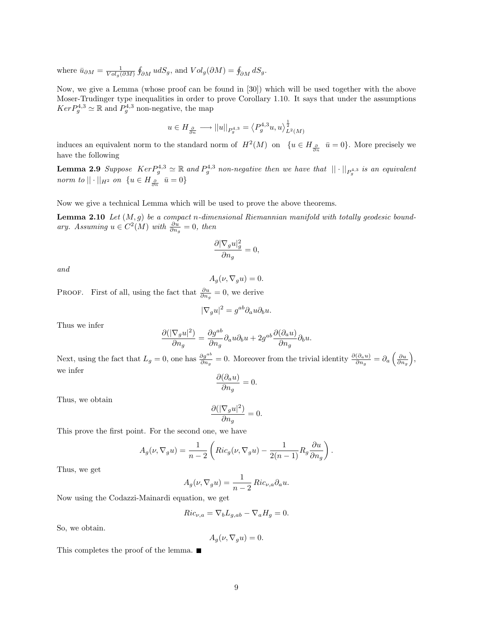where  $\bar{u}_{\partial M} = \frac{1}{Vol_g(\partial M)} \oint_{\partial M} u dS_g$ , and  $Vol_g(\partial M) = \oint_{\partial M} dS_g$ .

Now, we give a Lemma (whose proof can be found in [30]) which will be used together with the above Moser-Trudinger type inequalities in order to prove Corollary 1.10. It says that under the assumptions  $Ker P_g^{4,3} \simeq \mathbb{R}$  and  $P_g^{4,3}$  non-negative, the map

$$
u \in H_{\frac{\partial}{\partial n}} \longrightarrow ||u||_{P_g^{4,3}} = \left\langle P_g^{4,3}u, u \right\rangle_{L^2(M)}^{\frac{1}{2}}
$$

induces an equivalent norm to the standard norm of  $H^2(M)$  on  $\{u \in H_{\frac{\partial}{\partial n}} \bar{u} = 0\}$ . More precisely we have the following

**Lemma 2.9** Suppose  $Ker P_g^{4,3} \simeq \mathbb{R}$  and  $P_g^{4,3}$  non-negative then we have that  $|| \cdot ||_{P_g^{4,3}}$  is an equivalent norm to  $||\cdot||_{H^2}$  on  $\{u \in H_{\frac{\partial}{\partial n}} \ \ \bar{u} = 0\}$ 

Now we give a technical Lemma which will be used to prove the above theorems.

**Lemma 2.10** Let  $(M, g)$  be a compact n-dimensional Riemannian manifold with totally geodesic boundary. Assuming  $u \in C^2(M)$  with  $\frac{\partial u}{\partial n_g} = 0$ , then

$$
\frac{\partial |\nabla_g u|_g^2}{\partial n_g} = 0,
$$

and

$$
A_g(\nu, \nabla_g u) = 0.
$$

PROOF. First of all, using the fact that  $\frac{\partial u}{\partial n_g} = 0$ , we derive

$$
|\nabla_g u|^2 = g^{ab} \partial_a u \partial_b u.
$$

Thus we infer

$$
\frac{\partial(|\nabla_g u|^2)}{\partial n_g} = \frac{\partial g^{ab}}{\partial n_g} \partial_a u \partial_b u + 2g^{ab} \frac{\partial(\partial_a u)}{\partial n_g} \partial_b u.
$$

Next, using the fact that  $L_g = 0$ , one has  $\frac{\partial g^{ab}}{\partial n_g} = 0$ . Moreover from the trivial identity  $\frac{\partial (\partial_a u)}{\partial n_g} = \partial_a \left( \frac{\partial u}{\partial n_g} \right)$ , we infer

$$
\frac{\partial(\partial_a u)}{\partial n_g} = 0.
$$

Thus, we obtain

$$
\frac{\partial (|\nabla_g u|^2)}{\partial n_g}=0.
$$

This prove the first point. For the second one, we have

$$
A_g(\nu, \nabla_g u) = \frac{1}{n-2} \left( Ric_g(\nu, \nabla_g u) - \frac{1}{2(n-1)} R_g \frac{\partial u}{\partial n_g} \right).
$$

Thus, we get

$$
A_g(\nu, \nabla_g u) = \frac{1}{n-2} \operatorname{Ric}_{\nu, a} \partial_a u.
$$

Now using the Codazzi-Mainardi equation, we get

$$
Ric_{\nu,a} = \nabla_b L_{g,ab} - \nabla_a H_g = 0.
$$

So, we obtain.

$$
A_g(\nu, \nabla_g u) = 0.
$$

This completes the proof of the lemma. ■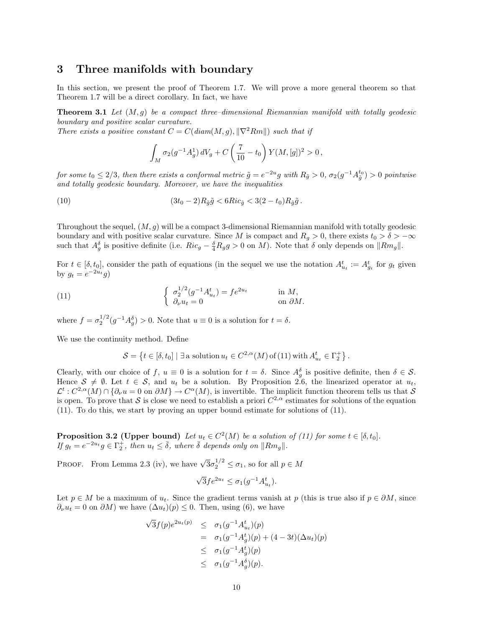## 3 Three manifolds with boundary

In this section, we present the proof of Theorem 1.7. We will prove a more general theorem so that Theorem 1.7 will be a direct corollary. In fact, we have

**Theorem 3.1** Let  $(M, q)$  be a compact three-dimensional Riemannian manifold with totally geodesic boundary and positive scalar curvature.

There exists a positive constant  $C = C(diam(M, g), ||\nabla^2 Rm||)$  such that if

$$
\int_M \sigma_2(g^{-1}A_g^1) dV_g + C\left(\frac{7}{10} - t_0\right) Y(M,[g])^2 > 0,
$$

for some  $t_0\leq 2/3$ , then there exists a conformal metric  $\tilde g=e^{-2u}g$  with  $R_{\tilde g}>0$ ,  $\sigma_2(g^{-1}A_{\tilde g}^{t_0})>0$  pointwise and totally geodesic boundary. Moreover, we have the inequalities

(10) 
$$
(3t_0 - 2)R_{\tilde{g}}\tilde{g} < 6Ric_{\tilde{g}} < 3(2 - t_0)R_{\tilde{g}}\tilde{g}.
$$

Throughout the sequel,  $(M, g)$  will be a compact 3-dimensional Riemannian manifold with totally geodesic boundary and with positive scalar curvature. Since M is compact and  $R_q > 0$ , there exists  $t_0 > \delta > -\infty$ such that  $A_g^{\delta}$  is positive definite (i.e.  $Ric_g - \frac{\delta}{4}R_g g > 0$  on M). Note that  $\delta$  only depends on  $||Rm_g||$ .

For  $t \in [\delta, t_0]$ , consider the path of equations (in the sequel we use the notation  $A_{u_t}^t := A_{g_t}^t$  for  $g_t$  given by  $g_t = e^{-2u_t}g$ 

(11) 
$$
\begin{cases} \sigma_2^{1/2}(g^{-1}A_{u_t}^t) = fe^{2u_t} & \text{in } M, \\ \partial_\nu u_t = 0 & \text{on } \partial M. \end{cases}
$$

where  $f = \sigma_2^{1/2} (g^{-1} A_g^{\delta}) > 0$ . Note that  $u \equiv 0$  is a solution for  $t = \delta$ .

We use the continuity method. Define

$$
\mathcal{S} = \left\{ t \in [\delta, t_0] \mid \exists \text{ a solution } u_t \in C^{2,\alpha}(M) \text{ of (11) with } A^t_{u_t} \in \Gamma_2^+ \right\}.
$$

Clearly, with our choice of f,  $u \equiv 0$  is a solution for  $t = \delta$ . Since  $A_g^{\delta}$  is positive definite, then  $\delta \in \mathcal{S}$ . Hence  $S \neq \emptyset$ . Let  $t \in S$ , and  $u_t$  be a solution. By Proposition 2.6, the linearized operator at  $u_t$ ,  $\mathcal{L}^t: C^{2,\alpha}(M)\cap \{\partial_\nu u=0\ \text{on}\ \partial M\}\to C^{\alpha}(M)$ , is invertible. The implicit function theorem tells us that  $\mathcal S$ is open. To prove that S is close we need to establish a priori  $C^{2,\alpha}$  estimates for solutions of the equation (11). To do this, we start by proving an upper bound estimate for solutions of (11).

**Proposition 3.2 (Upper bound)** Let  $u_t \in C^2(M)$  be a solution of (11) for some  $t \in [\delta, t_0]$ . If  $g_t = e^{-2u_t} g \in \Gamma_2^+$ , then  $u_t \leq \overline{\delta}$ , where  $\overline{\delta}$  depends only on  $\|Rm_g\|$ .

PROOF. From Lemma 2.3 (iv), we have  $\sqrt{3}\sigma_2^{1/2} \leq \sigma_1$ , so for all  $p \in M$ 

$$
\sqrt{3} f e^{2u_t} \le \sigma_1(g^{-1} A_{u_t}^t).
$$

Let  $p \in M$  be a maximum of  $u_t$ . Since the gradient terms vanish at p (this is true also if  $p \in \partial M$ , since  $\partial_{\nu}u_t = 0$  on  $\partial M$ ) we have  $(\Delta u_t)(p) \leq 0$ . Then, using (6), we have

$$
\sqrt{3}f(p)e^{2u_t(p)} \leq \sigma_1(g^{-1}A_{u_t}^t)(p)
$$
  
=  $\sigma_1(g^{-1}A_g^t)(p) + (4-3t)(\Delta u_t)(p)$   
 $\leq \sigma_1(g^{-1}A_g^t)(p)$   
 $\leq \sigma_1(g^{-1}A_g^{\delta})(p).$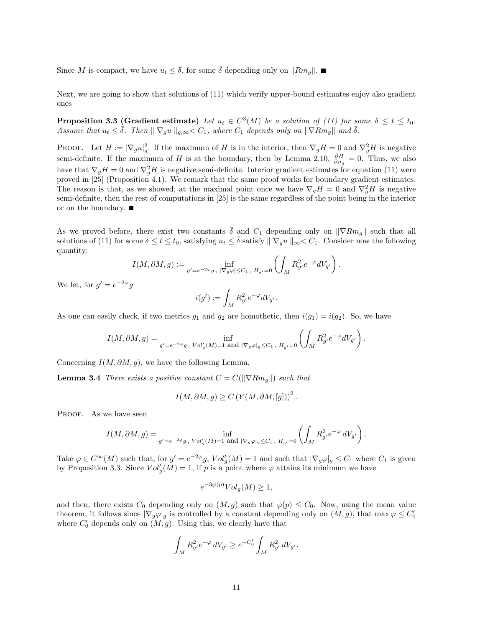Since M is compact, we have  $u_t < \overline{\delta}$ , for some  $\overline{\delta}$  depending only on  $\|Rm_{\sigma}\|$ .

Next, we are going to show that solutions of (11) which verify upper-bound estimates enjoy also gradient ones

**Proposition 3.3 (Gradient estimate)** Let  $u_t \in C^3(M)$  be a solution of (11) for some  $\delta \le t \le t_0$ . Assume that  $u_t \leq \bar{\delta}$ . Then  $\|\nabla_g u\|_{g,\infty} < C_1$ , where  $C_1$  depends only on  $\|\nabla Rm_g\|$  and  $\bar{\delta}$ .

**PROOF.** Let  $H := |\nabla_g u|_g^2$ . If the maximum of H is in the interior, then  $\nabla_g H = 0$  and  $\nabla_g^2 H$  is negative semi-definite. If the maximum of H is at the boundary, then by Lemma 2.10,  $\frac{\partial H}{\partial n_g} = 0$ . Thus, we also have that  $\nabla_g H = 0$  and  $\nabla_g^2 H$  is negative semi-definite. Interior gradient estimates for equation (11) were proved in [25] (Proposition 4.1). We remark that the same proof works for boundary gradient estimates. The reason is that, as we showed, at the maximal point once we have  $\nabla_g H = 0$  and  $\nabla_g^2 H$  is negative semi-definite, then the rest of computations in [25] is the same regardless of the point being in the interior or on the boundary.

As we proved before, there exist two constants  $\delta$  and  $C_1$  depending only on  $\|\nabla Rm_q\|$  such that all solutions of (11) for some  $\delta \le t \le t_0$ , satisfying  $u_t \le \overline{\delta}$  satisfy  $\|\nabla_g u\|_{\infty} < C_1$ . Consider now the following quantity:

$$
I(M, \partial M, g) := \inf_{g' = e^{-2\varphi}g, \ |\nabla_g \varphi| \leq C_1, \ H_{g'} = 0} \left( \int_M R_{g'}^2 e^{-\varphi} dV_{g'} \right).
$$

We let, for  $g' = e^{-2\varphi}g$ 

$$
i(g') := \int_M R_{g'}^2 e^{-\varphi} dV_{g'}.
$$

As one can easily check, if two metrics  $g_1$  and  $g_2$  are homothetic, then  $i(g_1) = i(g_2)$ . So, we have

$$
I(M, \partial M, g) = \inf_{g' = e^{-2\varphi}g, \ Vol'_g(M) = 1 \text{ and } |\nabla_g \varphi|_g \leq C_1, \ H_{g'} = 0} \left( \int_M R_{g'}^2 e^{-\varphi} dV_{g'} \right).
$$

Concerning  $I(M, \partial M, g)$ , we have the following Lemma.

**Lemma 3.4** There exists a positive constant  $C = C(||\nabla Rm_q||)$  such that

$$
I(M, \partial M, g) \ge C \left( Y(M, \partial M, [g]) \right)^2.
$$

PROOF. As we have seen

$$
I(M, \partial M, g) = \inf_{g' = e^{-2\varphi}g, \ Vol'_g(M) = 1 \text{ and } |\nabla_g \varphi|_g \leq C_1, \ H_{g'} = 0} \left( \int_M R_g^2 \cdot e^{-\varphi} \, dV_{g'} \right).
$$

Take  $\varphi \in C^{\infty}(M)$  such that, for  $g' = e^{-2\varphi}g$ ,  $Vol_g'(M) = 1$  and such that  $|\nabla_g \varphi|_g \leq C_1$  where  $C_1$  is given by Proposition 3.3. Since  $Vol'_g(M) = 1$ , if p is a point where  $\varphi$  attains its minimum we have

$$
e^{-3\varphi(p)}Vol_g(M) \ge 1,
$$

and then, there exists  $C_0$  depending only on  $(M, g)$  such that  $\varphi(p) \leq C_0$ . Now, using the mean value theorem, it follows since  $|\nabla_g \varphi|_g$  is controlled by a constant depending only on  $(M, g)$ , that max  $\varphi \leq C'_0$ where  $C'_0$  depends only on  $(M, g)$ . Using this, we clearly have that

$$
\int_M R_{g'}^2 e^{-\varphi} \, dV_{g'} \ge e^{-C'_0} \int_M R_{g'}^2 \, dV_{g'}.
$$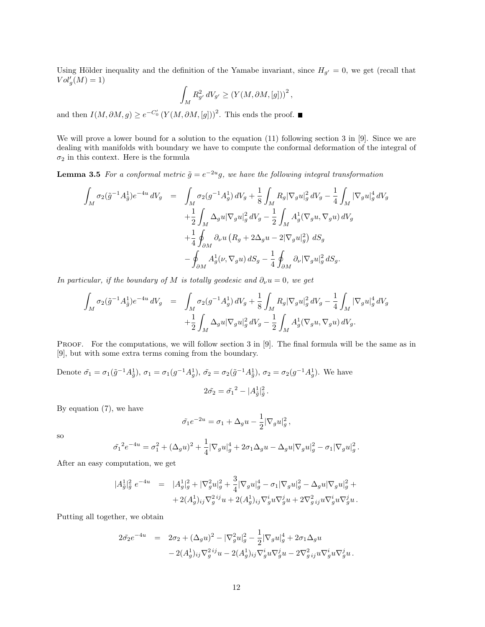Using Hölder inequality and the definition of the Yamabe invariant, since  $H_{g'} = 0$ , we get (recall that  $Vol'_g(M) = 1$ 

$$
\int_M R_{g'}^2 \, dV_{g'} \geq \left( Y(M, \partial M, [g]) \right)^2,
$$

and then  $I(M, \partial M, g) \geq e^{-C_0'} (Y(M, \partial M, [g]))^2$ . This ends the proof.

We will prove a lower bound for a solution to the equation (11) following section 3 in [9]. Since we are dealing with manifolds with boundary we have to compute the conformal deformation of the integral of  $\sigma_2$  in this context. Here is the formula

**Lemma 3.5** For a conformal metric  $\tilde{g} = e^{-2u}g$ , we have the following integral transformation

$$
\int_M \sigma_2(\tilde{g}^{-1}A_{\tilde{g}}^1)e^{-4u} dV_g = \int_M \sigma_2(g^{-1}A_g^1) dV_g + \frac{1}{8} \int_M R_g |\nabla_g u|_g^2 dV_g - \frac{1}{4} \int_M |\nabla_g u|_g^4 dV_g
$$
  
\n
$$
+ \frac{1}{2} \int_M \Delta_g u |\nabla_g u|_g^2 dV_g - \frac{1}{2} \int_M A_g^1(\nabla_g u, \nabla_g u) dV_g
$$
  
\n
$$
+ \frac{1}{4} \oint_{\partial M} \partial_\nu u (R_g + 2\Delta_g u - 2|\nabla_g u|_g^2) dS_g
$$
  
\n
$$
- \oint_{\partial M} A_g^1(\nu, \nabla_g u) dS_g - \frac{1}{4} \oint_{\partial M} \partial_\nu |\nabla_g u|_g^2 dS_g.
$$

In particular, if the boundary of M is totally geodesic and  $\partial_{\nu}u = 0$ , we get

$$
\int_{M} \sigma_{2}(\tilde{g}^{-1}A_{\tilde{g}}^{1})e^{-4u} dV_{g} = \int_{M} \sigma_{2}(g^{-1}A_{g}^{1}) dV_{g} + \frac{1}{8} \int_{M} R_{g} |\nabla_{g} u|_{g}^{2} dV_{g} - \frac{1}{4} \int_{M} |\nabla_{g} u|_{g}^{4} dV_{g} \n+ \frac{1}{2} \int_{M} \Delta_{g} u |\nabla_{g} u|_{g}^{2} dV_{g} - \frac{1}{2} \int_{M} A_{g}^{1} (\nabla_{g} u, \nabla_{g} u) dV_{g}.
$$

PROOF. For the computations, we will follow section 3 in [9]. The final formula will be the same as in [9], but with some extra terms coming from the boundary.

Denote 
$$
\tilde{\sigma}_1 = \sigma_1(\tilde{g}^{-1}A_{\tilde{g}}^1), \sigma_1 = \sigma_1(g^{-1}A_g^1), \tilde{\sigma}_2 = \sigma_2(\tilde{g}^{-1}A_{\tilde{g}}^1), \sigma_2 = \sigma_2(g^{-1}A_g^1).
$$
 We have  

$$
2\tilde{\sigma}_2 = \tilde{\sigma}_1^2 - |A_{\tilde{g}}^1|_{\tilde{g}}^2.
$$

By equation (7), we have

$$
\tilde{\sigma_1}e^{-2u} = \sigma_1 + \Delta_g u - \frac{1}{2}|\nabla_g u|_g^2,
$$

so

$$
\tilde{\sigma_1}^2 e^{-4u} = \sigma_1^2 + (\Delta_g u)^2 + \frac{1}{4} |\nabla_g u|^4_g + 2\sigma_1 \Delta_g u - \Delta_g u |\nabla_g u|^2_g - \sigma_1 |\nabla_g u|^2_g.
$$

After an easy computation, we get

$$
\begin{array}{rcl} |A_{\bar{g}}^{1}|_{\tilde{g}}^{2} \; e^{-4u} & = & |A_{g}^{1}|_{g}^{2} + |\nabla^{2}_{g}u|_{g}^{2} + \dfrac{3}{4} |\nabla_{g}u|_{g}^{4} - \sigma_{1} |\nabla_{g}u|_{g}^{2} - \Delta_{g}u |\nabla_{g}u|_{g}^{2} + \\ & & + 2 (A_{g}^{1})_{ij} \nabla^{2}_{g}{}^{ij}u + 2 (A_{g}^{1})_{ij} \nabla^{i}_{g}u \nabla^{j}_{g}u + 2 \nabla^{2}_{g}{}_{ij}u \nabla^{i}_{g}u \nabla^{j}_{g}u \, . \end{array}
$$

Putting all together, we obtain

$$
\begin{array}{rcl} 2\tilde{\sigma_2} e^{-4u} & = & 2\sigma_2 + (\Delta_g u)^2 - |\nabla_g^2 u|_g^2 - \frac{1}{2} |\nabla_g u|_g^4 + 2\sigma_1 \Delta_g u \\ & & - 2 (A_g^1)_{ij} \nabla_g^{2\,ij} u - 2 (A_g^1)_{ij} \nabla_g^i u \nabla_g^j u - 2 \nabla_g^2{}_{ij} u \nabla_g^i u \nabla_g^j u \, . \end{array}
$$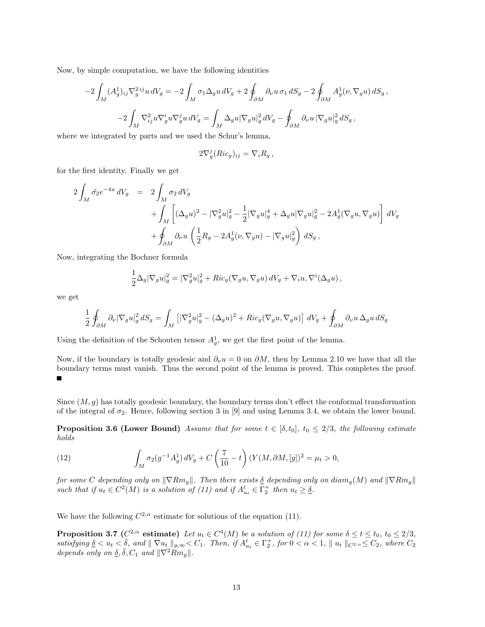Now, by simple computation, we have the following identities

$$
-2\int_M (A_g^1)_{ij} \nabla_g^{2\,ij} u \, dV_g = -2\int_M \sigma_1 \Delta_g u \, dV_g + 2\oint_{\partial M} \partial_\nu u \, \sigma_1 \, dS_g - 2\oint_{\partial M} A_g^1(\nu, \nabla_g u) \, dS_g\,,
$$
  

$$
-2\int_M \nabla_{ij}^2 u \nabla_g^i u \nabla_g^j u \, dV_g = \int_M \Delta_g u |\nabla_g u|_g^2 \, dV_g - \oint_{\partial M} \partial_\nu u |\nabla_g u|_g^2 \, dS_g\,,
$$

where we integrated by parts and we used the Schur's lemma,

$$
2\nabla_g^j(Ric_g)_{ij} = \nabla_i R_g \,,
$$

for the first identity. Finally we get

$$
2\int_M \tilde{\sigma_2} e^{-4u} dV_g = 2\int_M \sigma_2 dV_g
$$
  
+ 
$$
\int_M \left[ (\Delta_g u)^2 - |\nabla_g^2 u|_g^2 - \frac{1}{2} |\nabla_g u|_g^4 + \Delta_g u |\nabla_g u|_g^2 - 2A_g^1 (\nabla_g u, \nabla_g u) \right] dV_g
$$
  
+ 
$$
\oint_{\partial M} \partial_\nu u \left( \frac{1}{2} R_g - 2A_g^1 (\nu, \nabla_g u) - |\nabla_g u|_g^2 \right) dS_g,
$$

Now, integrating the Bochner formula

$$
\frac{1}{2}\Delta_g|\nabla_g u|_g^2 = |\nabla_g^2 u|_g^2 + Ric_g(\nabla_g u, \nabla_g u) dV_g + \nabla_i u, \nabla^i(\Delta_g u) ,
$$

we get

$$
\frac{1}{2} \oint_{\partial M} \partial_{\nu} |\nabla_g u|_g^2 dS_g = \int_M \left[ |\nabla_g^2 u|_g^2 - (\Delta_g u)^2 + Ric_g(\nabla_g u, \nabla_g u) \right] dV_g + \oint_{\partial M} \partial_{\nu} u \Delta_g u dS_g
$$

Using the definition of the Schouten tensor  $A_g^1$ , we get the first point of the lemma.

Now, if the boundary is totally geodesic and  $\partial_{\nu}u = 0$  on  $\partial M$ , then by Lemma 2.10 we have that all the boundary terms must vanish. Thus the second point of the lemma is proved. This completes the proof.

Since  $(M, g)$  has totally geodesic boundary, the boundary terms don't effect the conformal transformation of the integral of  $\sigma_2$ . Hence, following section 3 in [9] and using Lemma 3.4, we obtain the lower bound.

**Proposition 3.6 (Lower Bound)** Assume that for some  $t \in [\delta, t_0]$ ,  $t_0 \leq 2/3$ , the following estimate holds

(12) 
$$
\int_M \sigma_2(g^{-1}A_g^1) dV_g + C\left(\frac{7}{10} - t\right) (Y(M, \partial M, [g])^2 = \mu_t > 0,
$$

for some C depending only on  $\|\nabla Rm_g\|$ . Then there exists  $\underline{\delta}$  depending only on diam<sub>g</sub>(M) and  $\|\nabla Rm_g\|$ such that if  $u_t \in C^2(M)$  is a solution of (11) and if  $A_{u_t}^t \in \Gamma_2^+$  then  $u_t \geq \underline{\delta}$ .

We have the following  $C^{2,\alpha}$  estimate for solutions of the equation (11).

**Proposition 3.7** ( $C^{2,\alpha}$  estimate) Let  $u_t \in C^4(M)$  be a solution of (11) for some  $\delta \le t \le t_0$ ,  $t_0 \le 2/3$ ,  $satisfying \underline{\delta} < u_t < \overline{\delta}$ , and  $\| \nabla u_t \|_{g,\infty} < C_1$ . Then, if  $A_{u_t}^t \in \Gamma_2^+$ , for  $0 < \alpha < 1$ ,  $\| u_t \|_{C^2, \alpha} \leq C_2$ , where  $C_2$ depends only on  $\underline{\delta}, \overline{\delta}, C_1$  and  $\|\nabla^2 Rm_g\|$ .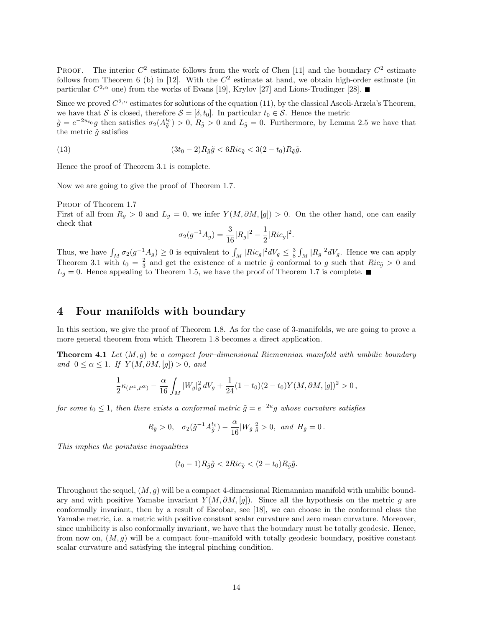PROOF. The interior  $C^2$  estimate follows from the work of Chen [11] and the boundary  $C^2$  estimate follows from Theorem 6 (b) in [12]. With the  $C^2$  estimate at hand, we obtain high-order estimate (in particular  $C^{2,\alpha}$  one) from the works of Evans [19], Krylov [27] and Lions-Trudinger [28].

Since we proved  $C^{2,\alpha}$  estimates for solutions of the equation (11), by the classical Ascoli-Arzela's Theorem, we have that S is closed, therefore  $S = [\delta, t_0]$ . In particular  $t_0 \in S$ . Hence the metric

 $\tilde{g} = e^{-2u_{t_0}}g$  then satisfies  $\sigma_2(A_{\tilde{g}}^{t_0}) > 0$ ,  $R_{\tilde{g}} > 0$  and  $L_{\tilde{g}} = 0$ . Furthermore, by Lemma 2.5 we have that the metric  $\tilde{g}$  satisfies

(13) 
$$
(3t_0 - 2)R_{\tilde{g}}\tilde{g} < 6Ric_{\tilde{g}} < 3(2 - t_0)R_{\tilde{g}}\tilde{g}.
$$

Hence the proof of Theorem 3.1 is complete.

Now we are going to give the proof of Theorem 1.7.

PROOF of Theorem 1.7

First of all from  $R_g > 0$  and  $L_g = 0$ , we infer  $Y(M, \partial M, [g]) > 0$ . On the other hand, one can easily check that

$$
\sigma_2(g^{-1}A_g) = \frac{3}{16}|R_g|^2 - \frac{1}{2}|Ric_g|^2.
$$

Thus, we have  $\int_M \sigma_2(g^{-1}A_g) \geq 0$  is equivalent to  $\int_M |Ric_g|^2 dV_g \leq \frac{3}{8} \int_M |R_g|^2 dV_g$ . Hence we can apply Theorem 3.1 with  $t_0 = \frac{2}{3}$  and get the existence of a metric  $\tilde{g}$  conformal to g such that  $Ric_{\tilde{g}} > 0$  and  $L_{\tilde{g}} = 0$ . Hence appealing to Theorem 1.5, we have the proof of Theorem 1.7 is complete.

## 4 Four manifolds with boundary

In this section, we give the proof of Theorem 1.8. As for the case of 3-manifolds, we are going to prove a more general theorem from which Theorem 1.8 becomes a direct application.

**Theorem 4.1** Let  $(M, q)$  be a compact four-dimensional Riemannian manifold with umbilic boundary and  $0 \leq \alpha \leq 1$ . If  $Y(M, \partial M, [g]) > 0$ , and

$$
\frac{1}{2}\kappa_{(P^4,P^3)}-\frac{\alpha}{16}\int_M |W_g|^2_g\,dV_g+\frac{1}{24}(1-t_0)(2-t_0)Y(M,\partial M,[g])^2>0\,,
$$

for some  $t_0 \leq 1$ , then there exists a conformal metric  $\tilde{g} = e^{-2u}g$  whose curvature satisfies

$$
R_{\tilde{g}} > 0
$$
,  $\sigma_2(\tilde{g}^{-1}A_{\tilde{g}}^{t_0}) - \frac{\alpha}{16}|W_{\tilde{g}}|_{\tilde{g}}^2 > 0$ , and  $H_{\tilde{g}} = 0$ .

This implies the pointwise inequalities

$$
(t_0 - 1)R_{\tilde{g}}\tilde{g} < 2Ric_{\tilde{g}} < (2 - t_0)R_{\tilde{g}}\tilde{g}.
$$

Throughout the sequel,  $(M, g)$  will be a compact 4-dimensional Riemannian manifold with umbilic boundary and with positive Yamabe invariant  $Y(M, \partial M, [g])$ . Since all the hypothesis on the metric g are conformally invariant, then by a result of Escobar, see [18], we can choose in the conformal class the Yamabe metric, i.e. a metric with positive constant scalar curvature and zero mean curvature. Moreover, since umbilicity is also conformally invariant, we have that the boundary must be totally geodesic. Hence, from now on,  $(M, q)$  will be a compact four–manifold with totally geodesic boundary, positive constant scalar curvature and satisfying the integral pinching condition.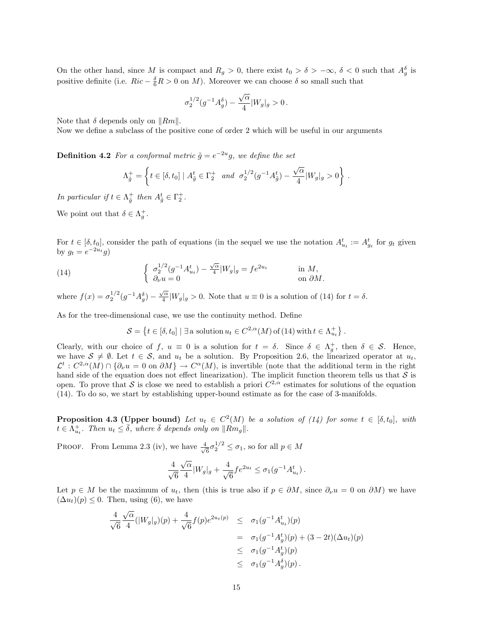On the other hand, since M is compact and  $R_g > 0$ , there exist  $t_0 > \delta > -\infty$ ,  $\delta < 0$  such that  $A_g^{\delta}$  is positive definite (i.e.  $Ric - \frac{\delta}{6}R > 0$  on M). Moreover we can choose  $\delta$  so small such that

$$
\sigma_2^{1/2}(g^{-1}A_g^{\delta})-\frac{\sqrt{\alpha}}{4}|W_g|_g>0\,.
$$

Note that  $\delta$  depends only on  $\|Rm\|$ .

Now we define a subclass of the positive cone of order 2 which will be useful in our arguments

**Definition 4.2** For a conformal metric  $\tilde{g} = e^{-2u}g$ , we define the set

$$
\Lambda_{\tilde{g}}^{+} = \left\{ t \in [\delta, t_0] \mid A_{\tilde{g}}^t \in \Gamma_2^+ \text{ and } \sigma_2^{1/2} (g^{-1} A_{\tilde{g}}^t) - \frac{\sqrt{\alpha}}{4} |W_g|_g > 0 \right\} \, .
$$

In particular if  $t \in \Lambda_{\tilde{g}}^+$  then  $A_{\tilde{g}}^t \in \Gamma_2^+$ .

We point out that  $\delta \in \Lambda_g^+$ .

For  $t \in [\delta, t_0]$ , consider the path of equations (in the sequel we use the notation  $A_{u_t}^t := A_{g_t}^t$  for  $g_t$  given by  $g_t = e^{-2u_t}g$ 

(14) 
$$
\begin{cases} \sigma_2^{1/2}(g^{-1}A_{u_t}^t) - \frac{\sqrt{\alpha}}{4}|W_g|_g = fe^{2u_t} & \text{in } M, \\ \partial_\nu u = 0 & \text{on } \partial M. \end{cases}
$$

where  $f(x) = \sigma_2^{1/2} (g^{-1} A_g^{\delta}) - \frac{\sqrt{\alpha}}{4}$  $\frac{\partial}{4}|W_g|_g > 0$ . Note that  $u \equiv 0$  is a solution of (14) for  $t = \delta$ .

As for the tree-dimensional case, we use the continuity method. Define

$$
\mathcal{S} = \left\{ t \in [\delta, t_0] \mid \exists \text{ a solution } u_t \in C^{2,\alpha}(M) \text{ of (14) with } t \in \Lambda_{u_t}^+ \right\}.
$$

Clearly, with our choice of f,  $u \equiv 0$  is a solution for  $t = \delta$ . Since  $\delta \in \Lambda_g^+$ , then  $\delta \in \mathcal{S}$ . Hence, we have  $S \neq \emptyset$ . Let  $t \in S$ , and  $u_t$  be a solution. By Proposition 2.6, the linearized operator at  $u_t$ ,  $\mathcal{L}^t$ :  $C^{2,\alpha}(M) \cap \{\partial_\nu u = 0 \text{ on } \partial M\} \to C^{\alpha}(M)$ , is invertible (note that the additional term in the right hand side of the equation does not effect linearization). The implicit function theorem tells us that  $S$  is open. To prove that S is close we need to establish a priori  $C^{2,\alpha}$  estimates for solutions of the equation (14). To do so, we start by establishing upper-bound estimate as for the case of 3-manifolds.

**Proposition 4.3 (Upper bound)** Let  $u_t \in C^2(M)$  be a solution of (14) for some  $t \in [\delta, t_0]$ , with  $t \in \bar{\Lambda}_{u_t}^+$ . Then  $u_t \leq \bar{\delta}$ , where  $\bar{\delta}$  depends only on  $\|\hat{Rm}_g\|$ .

PROOF. From Lemma 2.3 (iv), we have  $\frac{4}{\sqrt{4}}$  $\frac{1}{6}\sigma_2^{1/2} \leq \sigma_1$ , so for all  $p \in M$ 

$$
\frac{4}{\sqrt{6}}\frac{\sqrt{\alpha}}{4}|W_g|_g + \frac{4}{\sqrt{6}}fe^{2u_t} \leq \sigma_1(g^{-1}A_{u_t}^t).
$$

Let  $p \in M$  be the maximum of  $u_t$ , then (this is true also if  $p \in \partial M$ , since  $\partial_\nu u = 0$  on  $\partial M$ ) we have  $(\Delta u_t)(p) \leq 0$ . Then, using (6), we have

$$
\frac{4}{\sqrt{6}} \frac{\sqrt{\alpha}}{4} (|W_g|_g)(p) + \frac{4}{\sqrt{6}} f(p)e^{2u_t(p)} \le \sigma_1(g^{-1}A_{u_t}^t)(p)
$$
  
\n
$$
= \sigma_1(g^{-1}A_g^t)(p) + (3 - 2t)(\Delta u_t)(p)
$$
  
\n
$$
\le \sigma_1(g^{-1}A_g^t)(p)
$$
  
\n
$$
\le \sigma_1(g^{-1}A_g^{\delta})(p).
$$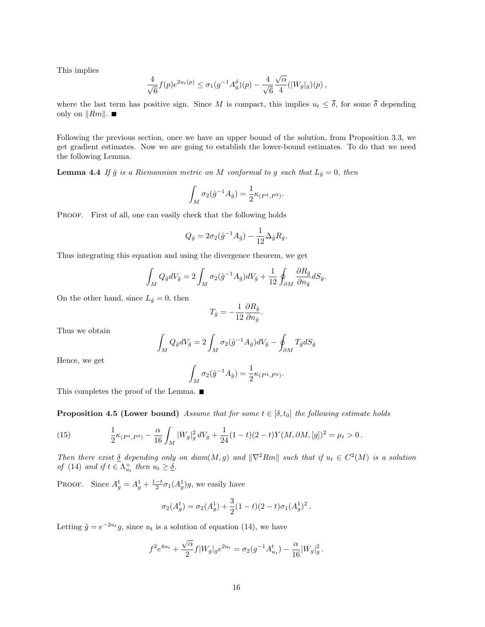This implies

$$
\frac{4}{\sqrt{6}}f(p)e^{2u_t(p)} \le \sigma_1(g^{-1}A_g^{\delta})(p) - \frac{4}{\sqrt{6}}\frac{\sqrt{\alpha}}{4}(|W_g|_g)(p),
$$

where the last term has positive sign. Since M is compact, this implies  $u_t \leq \overline{\delta}$ , for some  $\overline{\delta}$  depending only on  $\|Rm\|$ .

Following the previous section, once we have an upper bound of the solution, from Proposition 3.3, we get gradient estimates. Now we are going to establish the lower-bound estimates. To do that we need the following Lemma.

**Lemma 4.4** If  $\hat{g}$  is a Riemannian metric on M conformal to g such that  $L_{\hat{g}} = 0$ , then

$$
\int_M \sigma_2(\hat{g}^{-1}A_{\hat{g}}) = \frac{1}{2} \kappa_{(P^4, P^3)}.
$$

PROOF. First of all, one can easily check that the following holds

$$
Q_{\hat{g}} = 2\sigma_2(\hat{g}^{-1}A_{\hat{g}}) - \frac{1}{12}\Delta_{\hat{g}}R_{\hat{g}}.
$$

Thus integrating this equation and using the divergence theorem, we get

$$
\int_M Q_{\hat{g}}dV_{\hat{g}} = 2\int_M \sigma_2(\hat{g}^{-1}A_{\hat{g}})dV_{\hat{g}} + \frac{1}{12}\oint_{\partial M} \frac{\partial R_{\hat{g}}}{\partial n_{\hat{g}}}dS_{\hat{g}}.
$$

On the other hand, since  $L_{\hat{g}}=0$ , then

$$
T_{\hat{g}} = -\frac{1}{12} \frac{\partial R_{\hat{g}}}{\partial n_{\hat{g}}}.
$$

Thus we obtain

$$
\int_M Q_{\hat{g}}dV_{\hat{g}} = 2\int_M \sigma_2(\hat{g}^{-1}A_{\hat{g}})dV_{\hat{g}} - \oint_{\partial M} T_{\hat{g}}dS_{\hat{g}}
$$

Hence, we get

$$
\int_M \sigma_2(\hat{g}^{-1}A_{\hat{g}}) = \frac{1}{2} \kappa_{(P^4, P^3)}.
$$

This completes the proof of the Lemma.  $\blacksquare$ 

**Proposition 4.5 (Lower bound)** Assume that for some  $t \in [\delta, t_0]$  the following estimate holds

(15) 
$$
\frac{1}{2}\kappa_{(P^4,P^3)} - \frac{\alpha}{16}\int_M |W_g|_g^2 dV_g + \frac{1}{24}(1-t)(2-t)Y(M,\partial M,[g])^2 = \mu_t > 0.
$$

Then there exist  $\delta$  depending only on diam(M, g) and  $\|\nabla^2 Rm\|$  such that if  $u_t \in C^2(M)$  is a solution of (14) and if  $t \in \Lambda_{u_t}^+$  then  $u_t \geq \underline{\delta}$ .

PROOF. Since  $A_g^t = A_g^1 + \frac{1-t}{2} \sigma_1(A_g^1) g$ , we easily have

$$
\sigma_2(A_g^t) = \sigma_2(A_g^1) + \frac{3}{2}(1-t)(2-t)\sigma_1(A_g^1)^2.
$$

Letting  $\tilde{g} = e^{-2u_t}g$ , since  $u_t$  is a solution of equation (14), we have

$$
f^{2}e^{4u_{t}} + \frac{\sqrt{\alpha}}{2}f|W_{g}|_{g}e^{2u_{t}} = \sigma_{2}(g^{-1}A^{t}_{u_{t}}) - \frac{\alpha}{16}|W_{g}|_{g}^{2}.
$$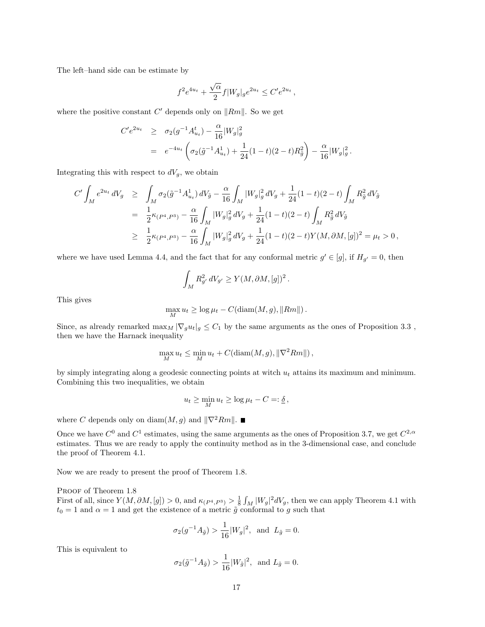The left–hand side can be estimate by

$$
f^{2}e^{4u_{t}} + \frac{\sqrt{\alpha}}{2}f|W_{g}|_{g}e^{2u_{t}} \leq C'e^{2u_{t}},
$$

where the positive constant  $C'$  depends only on  $\|Rm\|$ . So we get

$$
C' e^{2u_t} \ge \sigma_2(g^{-1} A_{u_t}^t) - \frac{\alpha}{16} |W_g|_g^2
$$
  
=  $e^{-4u_t} \left( \sigma_2(\tilde{g}^{-1} A_{u_t}^1) + \frac{1}{24} (1-t)(2-t) R_{\tilde{g}}^2 \right) - \frac{\alpha}{16} |W_g|_g^2.$ 

Integrating this with respect to  $dV_g$ , we obtain

$$
C' \int_M e^{2u_t} dV_g \ge \int_M \sigma_2(\tilde{g}^{-1} A^1_{u_t}) dV_{\tilde{g}} - \frac{\alpha}{16} \int_M |W_g|_g^2 dV_g + \frac{1}{24} (1-t)(2-t) \int_M R_{\tilde{g}}^2 dV_{\tilde{g}}
$$
  

$$
= \frac{1}{2} \kappa_{(P^4, P^3)} - \frac{\alpha}{16} \int_M |W_g|_g^2 dV_g + \frac{1}{24} (1-t)(2-t) \int_M R_{\tilde{g}}^2 dV_{\tilde{g}}
$$
  

$$
\ge \frac{1}{2} \kappa_{(P^4, P^3)} - \frac{\alpha}{16} \int_M |W_g|_g^2 dV_g + \frac{1}{24} (1-t)(2-t) Y(M, \partial M, [g])^2 = \mu_t > 0,
$$

where we have used Lemma 4.4, and the fact that for any conformal metric  $g' \in [g]$ , if  $H_{g'} = 0$ , then

$$
\int_M R_{g'}^2 dV_{g'} \ge Y(M, \partial M, [g])^2.
$$

This gives

$$
\max_{M} u_t \ge \log \mu_t - C(\text{diam}(M, g), ||Rm||).
$$

Since, as already remarked  $\max_M |\nabla_g u_t|_g \leq C_1$  by the same arguments as the ones of Proposition 3.3, then we have the Harnack inequality

$$
\max_{M} u_t \le \min_{M} u_t + C(\text{diam}(M, g), \|\nabla^2 Rm\|),
$$

by simply integrating along a geodesic connecting points at witch  $u_t$  attains its maximum and minimum. Combining this two inequalities, we obtain

$$
u_t \ge \min_M u_t \ge \log \mu_t - C =: \underline{\delta}\,,
$$

where C depends only on diam $(M, g)$  and  $\|\nabla^2 Rm\|$ .

Once we have  $C^0$  and  $C^1$  estimates, using the same arguments as the ones of Proposition 3.7, we get  $C^{2,\alpha}$ estimates. Thus we are ready to apply the continuity method as in the 3-dimensional case, and conclude the proof of Theorem 4.1.

Now we are ready to present the proof of Theorem 1.8.

PROOF of Theorem 1.8

First of all, since  $Y(M, \partial M, [g]) > 0$ , and  $\kappa_{(P^4, P^3)} > \frac{1}{8} \int_M |W_g|^2 dV_g$ , then we can apply Theorem 4.1 with  $t_0 = 1$  and  $\alpha = 1$  and get the existence of a metric  $\tilde{g}$  conformal to g such that

$$
\sigma_2(g^{-1}A_{\tilde{g}}) > \frac{1}{16}|W_g|^2
$$
, and  $L_{\tilde{g}} = 0$ .

This is equivalent to

$$
\sigma_2(\tilde{g}^{-1}A_{\tilde{g}}) > \frac{1}{16}|W_{\tilde{g}}|^2, \text{ and } L_{\tilde{g}} = 0.
$$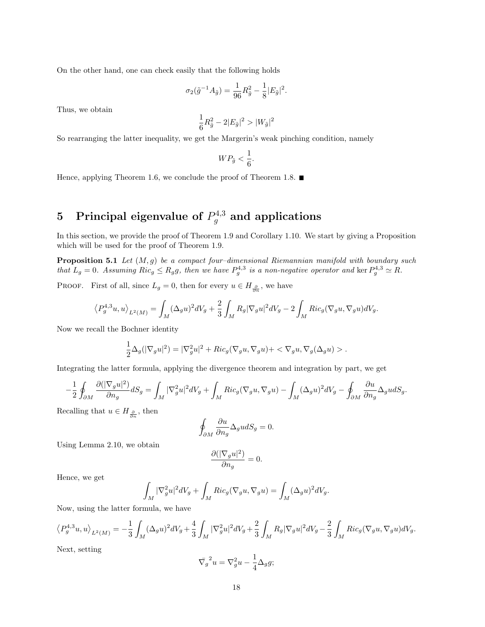On the other hand, one can check easily that the following holds

$$
\sigma_2(\tilde{g}^{-1}A_{\tilde{g}}) = \frac{1}{96}R_{\tilde{g}}^2 - \frac{1}{8}|E_{\tilde{g}}|^2.
$$

Thus, we obtain

$$
\frac{1}{6}R_{\tilde{g}}^2-2|E_{\tilde{g}}|^2>|W_{\tilde{g}}|^2
$$

So rearranging the latter inequality, we get the Margerin's weak pinching condition, namely

$$
WP_{\tilde{g}}<\frac{1}{6}.
$$

Hence, applying Theorem 1.6, we conclude the proof of Theorem 1.8.  $\blacksquare$ 

# 5 Principal eigenvalue of  $P_g^{4,3}$  and applications

In this section, we provide the proof of Theorem 1.9 and Corollary 1.10. We start by giving a Proposition which will be used for the proof of Theorem 1.9.

**Proposition 5.1** Let  $(M, g)$  be a compact four-dimensional Riemannian manifold with boundary such that  $L_g = 0$ . Assuming  $Ric_g \le R_g g$ , then we have  $P_g^{4,3}$  is a non-negative operator and ker  $P_g^{4,3} \simeq R$ .

PROOF. First of all, since  $L_g = 0$ , then for every  $u \in H_{\frac{\partial}{\partial n}}$ , we have

$$
\left\langle P_g^{4,3}u, u \right\rangle_{L^2(M)} = \int_M (\Delta_g u)^2 dV_g + \frac{2}{3} \int_M R_g |\nabla_g u|^2 dV_g - 2 \int_M Ric_g (\nabla_g u, \nabla_g u) dV_g.
$$

Now we recall the Bochner identity

$$
\frac{1}{2}\Delta_g(|\nabla_g u|^2) = |\nabla_g^2 u|^2 + Ric_g(\nabla_g u, \nabla_g u) + \langle \nabla_g u, \nabla_g (\Delta_g u) \rangle.
$$

Integrating the latter formula, applying the divergence theorem and integration by part, we get

$$
-\frac{1}{2}\oint_{\partial M}\frac{\partial(|\nabla_g u|^2)}{\partial n_g}dS_g = \int_M|\nabla_g^2 u|^2dV_g + \int_M Ric_g(\nabla_g u, \nabla_g u) - \int_M(\Delta_g u)^2dV_g - \oint_{\partial M}\frac{\partial u}{\partial n_g}\Delta_g u dS_g.
$$

Recalling that  $u \in H_{\frac{\partial}{\partial n}}$ , then

$$
\oint_{\partial M} \frac{\partial u}{\partial n_g} \Delta_g u dS_g = 0.
$$

Using Lemma 2.10, we obtain

$$
\frac{\partial (|\nabla_g u|^2)}{\partial n_g}=0.
$$

Hence, we get

$$
\int_M |\nabla_g^2 u|^2 dV_g + \int_M Ric_g(\nabla_g u, \nabla_g u) = \int_M (\Delta_g u)^2 dV_g.
$$

Now, using the latter formula, we have

$$
\left\langle P_g^{4,3}u,u\right\rangle_{L^2(M)}=-\frac{1}{3}\int_M(\Delta_g u)^2dV_g+\frac{4}{3}\int_M|\nabla_g^2 u|^2dV_g+\frac{2}{3}\int_MR_g|\nabla_g u|^2dV_g-\frac{2}{3}\int_MRic_g(\nabla_g u,\nabla_g u)dV_g.
$$

Next, setting

$$
\bar{\nabla_g}^2 u = \nabla_g^2 u - \frac{1}{4} \Delta_g g;
$$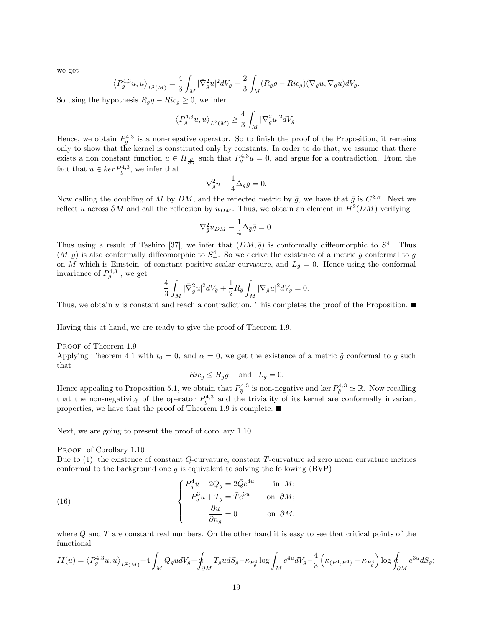we get

$$
\left\langle P_g^{4,3}u,u\right\rangle_{L^2(M)}=\frac{4}{3}\int_M|\bar{\nabla}_g^2u|^2dV_g+\frac{2}{3}\int_M(R_gg-Ric_g)(\nabla_gu,\nabla_gu)dV_g.
$$

So using the hypothesis  $R_g g - Ric_g \geq 0$ , we infer

$$
\left\langle P_g^{4,3}u,u\right\rangle_{L^2(M)}\geq \frac{4}{3}\int_M|\bar{\nabla}_g^2u|^2dV_g.
$$

Hence, we obtain  $P_g^{4,3}$  is a non-negative operator. So to finish the proof of the Proposition, it remains only to show that the kernel is constituted only by constants. In order to do that, we assume that there exists a non constant function  $u \in H_{\frac{\partial}{\partial n}}$  such that  $P_g^{4,3}u = 0$ , and argue for a contradiction. From the fact that  $u \in \ker P_g^{4,3}$ , we infer that

$$
\nabla_g^2 u - \frac{1}{4} \Delta_g g = 0.
$$

Now calling the doubling of M by DM, and the reflected metric by  $\bar{g}$ , we have that  $\bar{g}$  is  $C^{2,\alpha}$ . Next we reflect u across  $\partial M$  and call the reflection by  $u_{DM}$ . Thus, we obtain an element in  $H^2(DM)$  verifying

$$
\nabla_{\bar{g}}^2 u_{DM} - \frac{1}{4} \Delta_{\bar{g}} \bar{g} = 0.
$$

Thus using a result of Tashiro [37], we infer that  $(DM, \bar{g})$  is conformally diffeomorphic to  $S^4$ . Thus  $(M, g)$  is also conformally diffeomorphic to  $S^4_+$ . So we derive the existence of a metric  $\tilde{g}$  conformal to g on M which is Einstein, of constant positive scalar curvature, and  $L_{\tilde{g}} = 0$ . Hence using the conformal invariance of  $P_g^{4,3}$ , we get

$$
\frac{4}{3}\int_M |\nabla_{\tilde{g}}^2 u|^2 dV_{\tilde{g}} + \frac{1}{2}R_{\tilde{g}}\int_M |\nabla_{\tilde{g}} u|^2 dV_{\tilde{g}} = 0.
$$

Thus, we obtain u is constant and reach a contradiction. This completes the proof of the Proposition.

Having this at hand, we are ready to give the proof of Theorem 1.9.

PROOF of Theorem 1.9 Applying Theorem 4.1 with  $t_0 = 0$ , and  $\alpha = 0$ , we get the existence of a metric  $\tilde{g}$  conformal to g such that

$$
Ric_{\tilde{g}} \le R_{\tilde{g}}\tilde{g}, \text{ and } L_{\tilde{g}} = 0.
$$

Hence appealing to Proposition 5.1, we obtain that  $P_{\tilde{g}}^{4,3}$  is non-negative and ker  $P_{\tilde{g}}^{4,3} \simeq \mathbb{R}$ . Now recalling that the non-negativity of the operator  $P_g^{4,3}$  and the triviality of its kernel are conformally invariant properties, we have that the proof of Theorem 1.9 is complete.

Next, we are going to present the proof of corollary 1.10.

PROOF of Corollary 1.10

Due to (1), the existence of constant Q-curvature, constant T-curvature ad zero mean curvature metrics conformal to the background one  $g$  is equivalent to solving the following  $(BVP)$ 

(16) 
$$
\begin{cases} P_g^4 u + 2Q_g = 2\bar{Q}e^{4u} & \text{in } M; \\ P_g^3 u + T_g = \bar{T}e^{3u} & \text{on } \partial M; \\ \frac{\partial u}{\partial n_g} = 0 & \text{on } \partial M. \end{cases}
$$

where  $\overline{Q}$  and  $\overline{T}$  are constant real numbers. On the other hand it is easy to see that critical points of the functional

$$
II(u) = \left\langle P_g^{4,3}u, u \right\rangle_{L^2(M)} + 4 \int_M Q_g u dV_g + \oint_{\partial M} T_g u dS_g - \kappa_{P_g^4} \log \int_M e^{4u} dV_g - \frac{4}{3} \left( \kappa_{(P^4, P^3)} - \kappa_{P_g^4} \right) \log \oint_{\partial M} e^{3u} dS_g;
$$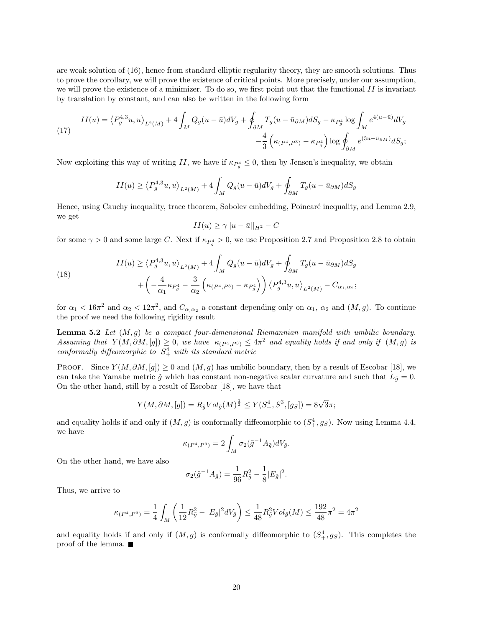are weak solution of (16), hence from standard elliptic regularity theory, they are smooth solutions. Thus to prove the corollary, we will prove the existence of critical points. More precisely, under our assumption, we will prove the existence of a minimizer. To do so, we first point out that the functional  $II$  is invariant by translation by constant, and can also be written in the following form

(17) 
$$
II(u) = \left\langle P_g^{4,3}u, u \right\rangle_{L^2(M)} + 4 \int_M Q_g(u - \bar{u})dV_g + \oint_{\partial M} T_g(u - \bar{u}_{\partial M})dS_g - \kappa_{P_g^4} \log \int_M e^{4(u - \bar{u})}dV_g - \frac{4}{3} \left( \kappa_{(P^4, P^3)} - \kappa_{P_g^4} \right) \log \oint_{\partial M} e^{(3u - \bar{u}_{\partial M})}dS_g;
$$

Now exploiting this way of writing II, we have if  $\kappa_{P_g^4} \leq 0$ , then by Jensen's inequality, we obtain

$$
II(u) \ge \left\langle P_g^{4,3}u, u \right\rangle_{L^2(M)} + 4 \int_M Q_g(u - \bar{u})dV_g + \oint_{\partial M} T_g(u - \bar{u}_{\partial M})dS_g
$$

Hence, using Cauchy inequality, trace theorem, Sobolev embedding, Poincaré inequality, and Lemma 2.9, we get

$$
II(u) \ge \gamma ||u - \bar{u}||_{H^2} - C
$$

for some  $\gamma > 0$  and some large C. Next if  $\kappa_{P_g} > 0$ , we use Proposition 2.7 and Proposition 2.8 to obtain

(18)  

$$
II(u) \ge \left\langle P_g^{4,3} u, u \right\rangle_{L^2(M)} + 4 \int_M Q_g(u - \bar{u}) dV_g + \oint_{\partial M} T_g(u - \bar{u}_{\partial M}) dS_g + \left( -\frac{4}{\alpha_1} \kappa_{P_g^4} - \frac{3}{\alpha_2} \left( \kappa_{(P^4, P^3)} - \kappa_{P_g^4} \right) \right) \left\langle P_g^{4,3} u, u \right\rangle_{L^2(M)} - C_{\alpha_1, \alpha_2};
$$

for  $\alpha_1 < 16\pi^2$  and  $\alpha_2 < 12\pi^2$ , and  $C_{\alpha,\alpha_2}$  a constant depending only on  $\alpha_1$ ,  $\alpha_2$  and  $(M,g)$ . To continue the proof we need the following rigidity result

**Lemma 5.2** Let  $(M, g)$  be a compact four-dimensional Riemannian manifold with umbilic boundary. Assuming that  $Y(M, \partial M, [g]) \geq 0$ , we have  $\kappa_{(P^4, P^3)} \leq 4\pi^2$  and equality holds if and only if  $(M, g)$  is conformally diffeomorphic to  $S^4_+$  with its standard metric

PROOF. Since  $Y(M, \partial M, [g]) \geq 0$  and  $(M, g)$  has umbilic boundary, then by a result of Escobar [18], we can take the Yamabe metric  $\tilde{g}$  which has constant non-negative scalar curvature and such that  $L_{\tilde{g}} = 0$ . On the other hand, still by a result of Escobar [18], we have that

$$
Y(M, \partial M, [g]) = R_{\tilde{g}} Vol_{\tilde{g}}(M)^{\frac{1}{2}} \leq Y(S_+^4, S^3, [g_S]) = 8\sqrt{3}\pi;
$$

and equality holds if and only if  $(M, g)$  is conformally diffeomorphic to  $(S^4_+, g_S)$ . Now using Lemma 4.4, we have

$$
\kappa_{(P^4, P^3)} = 2 \int_M \sigma_2(\tilde{g}^{-1} A_{\tilde{g}}) dV_{\tilde{g}}.
$$

On the other hand, we have also

$$
\sigma_2(\tilde{g}^{-1}A_{\tilde{g}}) = \frac{1}{96}R_{\tilde{g}}^2 - \frac{1}{8}|E_{\tilde{g}}|^2.
$$

Thus, we arrive to

$$
\kappa_{(P^4, P^3)} = \frac{1}{4} \int_M \left( \frac{1}{12} R_{\tilde{g}}^2 - |E_{\tilde{g}}|^2 dV_{\tilde{g}} \right) \le \frac{1}{48} R_{\tilde{g}}^2 Vol_{\tilde{g}}(M) \le \frac{192}{48} \pi^2 = 4\pi^2
$$

and equality holds if and only if  $(M, g)$  is conformally diffeomorphic to  $(S^4_+, g_S)$ . This completes the proof of the lemma.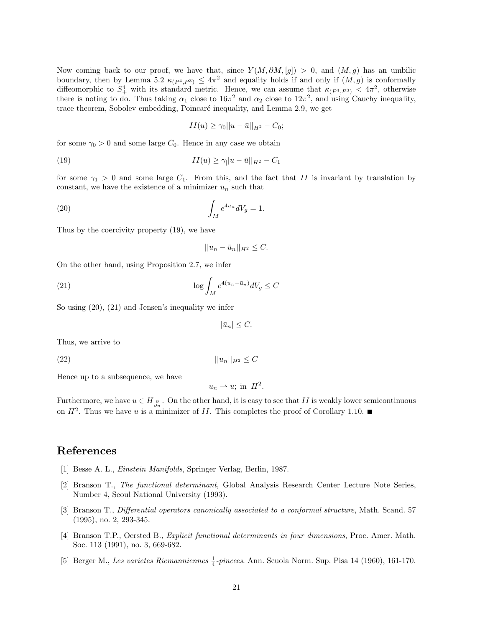Now coming back to our proof, we have that, since  $Y(M, \partial M, [q]) > 0$ , and  $(M, q)$  has an umbilic boundary, then by Lemma 5.2  $\kappa_{(P^4, P^3)} \le 4\pi^2$  and equality holds if and only if  $(M, g)$  is conformally diffeomorphic to  $S^4_+$  with its standard metric. Hence, we can assume that  $\kappa_{(P^4,P^3)} < 4\pi^2$ , otherwise there is noting to do. Thus taking  $\alpha_1$  close to  $16\pi^2$  and  $\alpha_2$  close to  $12\pi^2$ , and using Cauchy inequality, trace theorem, Sobolev embedding, Poincaré inequality, and Lemma 2.9, we get

$$
II(u) \ge \gamma_0 ||u - \bar{u}||_{H^2} - C_0;
$$

for some  $\gamma_0 > 0$  and some large  $C_0$ . Hence in any case we obtain

(19) 
$$
II(u) \ge \gamma_1 |u - \bar{u}||_{H^2} - C_1
$$

for some  $\gamma_1 > 0$  and some large  $C_1$ . From this, and the fact that II is invariant by translation by constant, we have the existence of a minimizer  $u_n$  such that

(20) 
$$
\int_M e^{4u_n} dV_g = 1.
$$

Thus by the coercivity property (19), we have

$$
||u_n - \bar{u}_n||_{H^2} \leq C.
$$

On the other hand, using Proposition 2.7, we infer

(21) 
$$
\log \int_M e^{4(u_n - \bar{u}_n)} dV_g \leq C
$$

So using (20), (21) and Jensen's inequality we infer

 $|\bar{u}_n| \leq C.$ 

Thus, we arrive to

(22)  $||u_n||_{H^2} \leq C$ 

Hence up to a subsequence, we have

$$
u_n \rightharpoonup u; \text{ in } H^2.
$$

Furthermore, we have  $u \in H_{\frac{\partial}{\partial n}}$ . On the other hand, it is easy to see that  $II$  is weakly lower semicontinuous on  $H^2$ . Thus we have u is a minimizer of II. This completes the proof of Corollary 1.10.

### References

- [1] Besse A. L., Einstein Manifolds, Springer Verlag, Berlin, 1987.
- [2] Branson T., The functional determinant, Global Analysis Research Center Lecture Note Series, Number 4, Seoul National University (1993).
- [3] Branson T., Differential operators canonically associated to a conformal structure, Math. Scand. 57 (1995), no. 2, 293-345.
- [4] Branson T.P., Oersted B., Explicit functional determinants in four dimensions, Proc. Amer. Math. Soc. 113 (1991), no. 3, 669-682.
- [5] Berger M., Les varietes Riemanniennes  $\frac{1}{4}$ -pincees. Ann. Scuola Norm. Sup. Pisa 14 (1960), 161-170.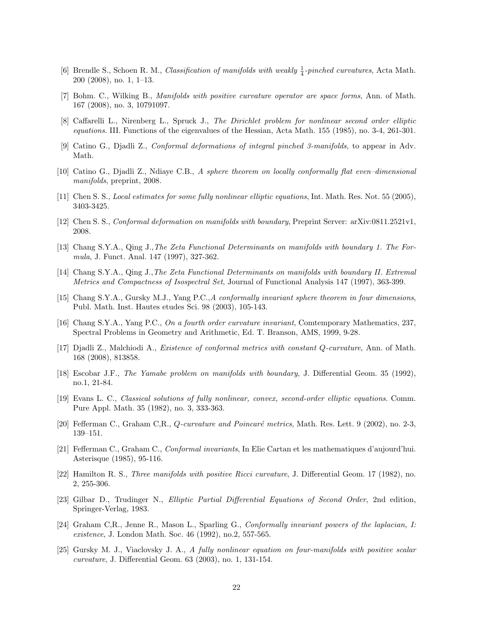- [6] Brendle S., Schoen R. M., Classification of manifolds with weakly  $\frac{1}{4}$ -pinched curvatures, Acta Math. 200 (2008), no. 1, 1–13.
- [7] Bohm. C., Wilking B., Manifolds with positive curvature operator are space forms, Ann. of Math. 167 (2008), no. 3, 10791097.
- [8] Caffarelli L., Nirenberg L., Spruck J., The Dirichlet problem for nonlinear second order elliptic equations. III. Functions of the eigenvalues of the Hessian, Acta Math. 155 (1985), no. 3-4, 261-301.
- [9] Catino G., Djadli Z., Conformal deformations of integral pinched 3-manifolds, to appear in Adv. Math.
- [10] Catino G., Djadli Z., Ndiaye C.B., A sphere theorem on locally conformally flat even–dimensional manifolds, preprint, 2008.
- [11] Chen S. S., Local estimates for some fully nonlinear elliptic equations, Int. Math. Res. Not. 55 (2005), 3403-3425.
- [12] Chen S. S., *Conformal deformation on manifolds with boundary*, Preprint Server: arXiv:0811.2521v1, 2008.
- [13] Chang S.Y.A., Qing J.,The Zeta Functional Determinants on manifolds with boundary 1. The Formula, J. Funct. Anal. 147 (1997), 327-362.
- [14] Chang S.Y.A., Qing J.,The Zeta Functional Determinants on manifolds with boundary II. Extremal Metrics and Compactness of Isospectral Set, Journal of Functional Analysis 147 (1997), 363-399.
- [15] Chang S.Y.A., Gursky M.J., Yang P.C.,A conformally invariant sphere theorem in four dimensions, Publ. Math. Inst. Hautes etudes Sci. 98 (2003), 105-143.
- [16] Chang S.Y.A., Yang P.C., On a fourth order curvature invariant, Comtemporary Mathematics, 237, Spectral Problems in Geometry and Arithmetic, Ed. T. Branson, AMS, 1999, 9-28.
- [17] Djadli Z., Malchiodi A., Existence of conformal metrics with constant Q-curvature, Ann. of Math. 168 (2008), 813858.
- [18] Escobar J.F., The Yamabe problem on manifolds with boundary, J. Differential Geom. 35 (1992), no.1, 21-84.
- [19] Evans L. C., Classical solutions of fully nonlinear, convex, second-order elliptic equations. Comm. Pure Appl. Math. 35 (1982), no. 3, 333-363.
- [20] Fefferman C., Graham C.R., *Q-curvature and Poincaré metrics*, Math. Res. Lett. 9 (2002), no. 2-3, 139–151.
- [21] Fefferman C., Graham C., Conformal invariants, In Elie Cartan et les mathematiques d'aujourd'hui. Asterisque (1985), 95-116.
- [22] Hamilton R. S., Three manifolds with positive Ricci curvature, J. Differential Geom. 17 (1982), no. 2, 255-306.
- [23] Gilbar D., Trudinger N., Elliptic Partial Differential Equations of Second Order, 2nd edition, Springer-Verlag, 1983.
- [24] Graham C,R., Jenne R., Mason L., Sparling G., Conformally invariant powers of the laplacian, I: existence, J. London Math. Soc. 46 (1992), no.2, 557-565.
- [25] Gursky M. J., Viaclovsky J. A., A fully nonlinear equation on four-manifolds with positive scalar curvature, J. Differential Geom. 63 (2003), no. 1, 131-154.